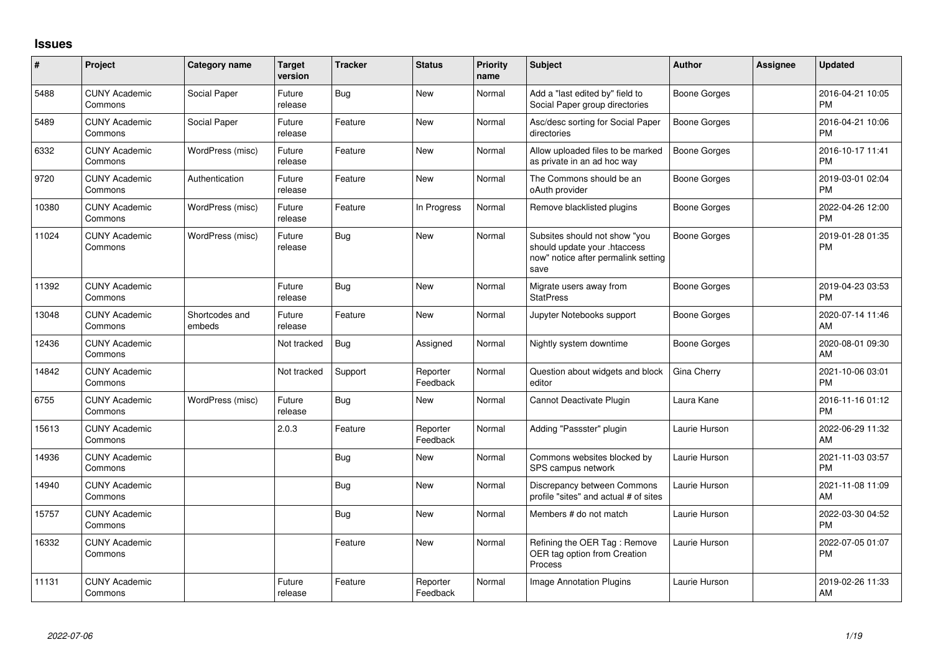## **Issues**

| #     | Project                         | <b>Category name</b>     | <b>Target</b><br>version | <b>Tracker</b> | <b>Status</b>        | Priority<br>name | <b>Subject</b>                                                                                               | <b>Author</b>       | <b>Assignee</b> | <b>Updated</b>                |
|-------|---------------------------------|--------------------------|--------------------------|----------------|----------------------|------------------|--------------------------------------------------------------------------------------------------------------|---------------------|-----------------|-------------------------------|
| 5488  | <b>CUNY Academic</b><br>Commons | Social Paper             | Future<br>release        | Bug            | New                  | Normal           | Add a "last edited by" field to<br>Social Paper group directories                                            | Boone Gorges        |                 | 2016-04-21 10:05<br><b>PM</b> |
| 5489  | <b>CUNY Academic</b><br>Commons | Social Paper             | Future<br>release        | Feature        | <b>New</b>           | Normal           | Asc/desc sorting for Social Paper<br>directories                                                             | Boone Gorges        |                 | 2016-04-21 10:06<br><b>PM</b> |
| 6332  | <b>CUNY Academic</b><br>Commons | WordPress (misc)         | Future<br>release        | Feature        | <b>New</b>           | Normal           | Allow uploaded files to be marked<br>as private in an ad hoc way                                             | <b>Boone Gorges</b> |                 | 2016-10-17 11:41<br><b>PM</b> |
| 9720  | <b>CUNY Academic</b><br>Commons | Authentication           | Future<br>release        | Feature        | <b>New</b>           | Normal           | The Commons should be an<br>oAuth provider                                                                   | <b>Boone Gorges</b> |                 | 2019-03-01 02:04<br><b>PM</b> |
| 10380 | <b>CUNY Academic</b><br>Commons | WordPress (misc)         | Future<br>release        | Feature        | In Progress          | Normal           | Remove blacklisted plugins                                                                                   | Boone Gorges        |                 | 2022-04-26 12:00<br><b>PM</b> |
| 11024 | <b>CUNY Academic</b><br>Commons | WordPress (misc)         | Future<br>release        | <b>Bug</b>     | New                  | Normal           | Subsites should not show "you<br>should update your .htaccess<br>now" notice after permalink setting<br>save | Boone Gorges        |                 | 2019-01-28 01:35<br><b>PM</b> |
| 11392 | <b>CUNY Academic</b><br>Commons |                          | Future<br>release        | <b>Bug</b>     | <b>New</b>           | Normal           | Migrate users away from<br><b>StatPress</b>                                                                  | <b>Boone Gorges</b> |                 | 2019-04-23 03:53<br><b>PM</b> |
| 13048 | <b>CUNY Academic</b><br>Commons | Shortcodes and<br>embeds | Future<br>release        | Feature        | <b>New</b>           | Normal           | Jupyter Notebooks support                                                                                    | Boone Gorges        |                 | 2020-07-14 11:46<br>AM        |
| 12436 | <b>CUNY Academic</b><br>Commons |                          | Not tracked              | Bug            | Assigned             | Normal           | Nightly system downtime                                                                                      | <b>Boone Gorges</b> |                 | 2020-08-01 09:30<br>AM        |
| 14842 | <b>CUNY Academic</b><br>Commons |                          | Not tracked              | Support        | Reporter<br>Feedback | Normal           | Question about widgets and block<br>editor                                                                   | Gina Cherry         |                 | 2021-10-06 03:01<br><b>PM</b> |
| 6755  | <b>CUNY Academic</b><br>Commons | WordPress (misc)         | Future<br>release        | Bug            | <b>New</b>           | Normal           | Cannot Deactivate Plugin                                                                                     | Laura Kane          |                 | 2016-11-16 01:12<br><b>PM</b> |
| 15613 | <b>CUNY Academic</b><br>Commons |                          | 2.0.3                    | Feature        | Reporter<br>Feedback | Normal           | Adding "Passster" plugin                                                                                     | Laurie Hurson       |                 | 2022-06-29 11:32<br>AM        |
| 14936 | <b>CUNY Academic</b><br>Commons |                          |                          | Bug            | New                  | Normal           | Commons websites blocked by<br>SPS campus network                                                            | Laurie Hurson       |                 | 2021-11-03 03:57<br><b>PM</b> |
| 14940 | <b>CUNY Academic</b><br>Commons |                          |                          | Bug            | New                  | Normal           | Discrepancy between Commons<br>profile "sites" and actual # of sites                                         | Laurie Hurson       |                 | 2021-11-08 11:09<br>AM        |
| 15757 | <b>CUNY Academic</b><br>Commons |                          |                          | <b>Bug</b>     | <b>New</b>           | Normal           | Members # do not match                                                                                       | Laurie Hurson       |                 | 2022-03-30 04:52<br><b>PM</b> |
| 16332 | <b>CUNY Academic</b><br>Commons |                          |                          | Feature        | <b>New</b>           | Normal           | Refining the OER Tag: Remove<br>OER tag option from Creation<br>Process                                      | Laurie Hurson       |                 | 2022-07-05 01:07<br><b>PM</b> |
| 11131 | <b>CUNY Academic</b><br>Commons |                          | Future<br>release        | Feature        | Reporter<br>Feedback | Normal           | Image Annotation Plugins                                                                                     | Laurie Hurson       |                 | 2019-02-26 11:33<br>AM        |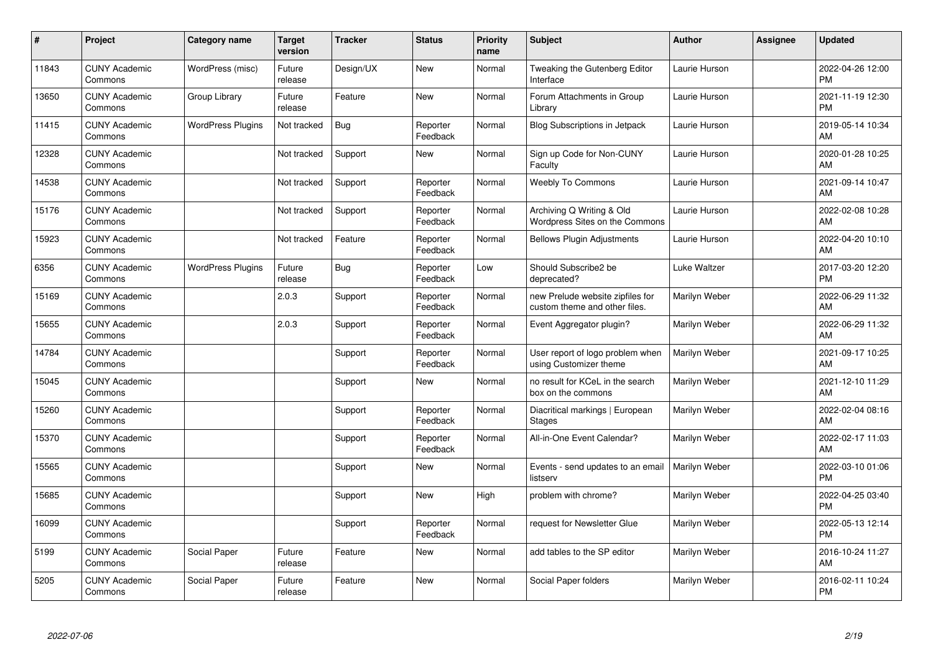| $\pmb{\#}$ | Project                         | <b>Category name</b>     | <b>Target</b><br>version | <b>Tracker</b> | <b>Status</b>        | <b>Priority</b><br>name | <b>Subject</b>                                                    | <b>Author</b> | Assignee | <b>Updated</b>                |
|------------|---------------------------------|--------------------------|--------------------------|----------------|----------------------|-------------------------|-------------------------------------------------------------------|---------------|----------|-------------------------------|
| 11843      | <b>CUNY Academic</b><br>Commons | WordPress (misc)         | Future<br>release        | Design/UX      | <b>New</b>           | Normal                  | Tweaking the Gutenberg Editor<br>Interface                        | Laurie Hurson |          | 2022-04-26 12:00<br><b>PM</b> |
| 13650      | <b>CUNY Academic</b><br>Commons | Group Library            | Future<br>release        | Feature        | <b>New</b>           | Normal                  | Forum Attachments in Group<br>Library                             | Laurie Hurson |          | 2021-11-19 12:30<br><b>PM</b> |
| 11415      | <b>CUNY Academic</b><br>Commons | <b>WordPress Plugins</b> | Not tracked              | <b>Bug</b>     | Reporter<br>Feedback | Normal                  | <b>Blog Subscriptions in Jetpack</b>                              | Laurie Hurson |          | 2019-05-14 10:34<br>AM        |
| 12328      | <b>CUNY Academic</b><br>Commons |                          | Not tracked              | Support        | <b>New</b>           | Normal                  | Sign up Code for Non-CUNY<br>Faculty                              | Laurie Hurson |          | 2020-01-28 10:25<br>AM        |
| 14538      | <b>CUNY Academic</b><br>Commons |                          | Not tracked              | Support        | Reporter<br>Feedback | Normal                  | <b>Weebly To Commons</b>                                          | Laurie Hurson |          | 2021-09-14 10:47<br>AM        |
| 15176      | <b>CUNY Academic</b><br>Commons |                          | Not tracked              | Support        | Reporter<br>Feedback | Normal                  | Archiving Q Writing & Old<br>Wordpress Sites on the Commons       | Laurie Hurson |          | 2022-02-08 10:28<br>AM        |
| 15923      | <b>CUNY Academic</b><br>Commons |                          | Not tracked              | Feature        | Reporter<br>Feedback | Normal                  | <b>Bellows Plugin Adjustments</b>                                 | Laurie Hurson |          | 2022-04-20 10:10<br>AM        |
| 6356       | <b>CUNY Academic</b><br>Commons | <b>WordPress Plugins</b> | Future<br>release        | Bug            | Reporter<br>Feedback | Low                     | Should Subscribe2 be<br>deprecated?                               | Luke Waltzer  |          | 2017-03-20 12:20<br><b>PM</b> |
| 15169      | <b>CUNY Academic</b><br>Commons |                          | 2.0.3                    | Support        | Reporter<br>Feedback | Normal                  | new Prelude website zipfiles for<br>custom theme and other files. | Marilyn Weber |          | 2022-06-29 11:32<br>AM        |
| 15655      | <b>CUNY Academic</b><br>Commons |                          | 2.0.3                    | Support        | Reporter<br>Feedback | Normal                  | Event Aggregator plugin?                                          | Marilyn Weber |          | 2022-06-29 11:32<br>AM        |
| 14784      | <b>CUNY Academic</b><br>Commons |                          |                          | Support        | Reporter<br>Feedback | Normal                  | User report of logo problem when<br>using Customizer theme        | Marilyn Weber |          | 2021-09-17 10:25<br>AM        |
| 15045      | <b>CUNY Academic</b><br>Commons |                          |                          | Support        | New                  | Normal                  | no result for KCeL in the search<br>box on the commons            | Marilyn Weber |          | 2021-12-10 11:29<br>AM        |
| 15260      | <b>CUNY Academic</b><br>Commons |                          |                          | Support        | Reporter<br>Feedback | Normal                  | Diacritical markings   European<br>Stages                         | Marilyn Weber |          | 2022-02-04 08:16<br>AM        |
| 15370      | <b>CUNY Academic</b><br>Commons |                          |                          | Support        | Reporter<br>Feedback | Normal                  | All-in-One Event Calendar?                                        | Marilyn Weber |          | 2022-02-17 11:03<br>AM        |
| 15565      | <b>CUNY Academic</b><br>Commons |                          |                          | Support        | New                  | Normal                  | Events - send updates to an email<br>listserv                     | Marilyn Weber |          | 2022-03-10 01:06<br><b>PM</b> |
| 15685      | <b>CUNY Academic</b><br>Commons |                          |                          | Support        | New                  | High                    | problem with chrome?                                              | Marilyn Weber |          | 2022-04-25 03:40<br><b>PM</b> |
| 16099      | <b>CUNY Academic</b><br>Commons |                          |                          | Support        | Reporter<br>Feedback | Normal                  | request for Newsletter Glue                                       | Marilyn Weber |          | 2022-05-13 12:14<br><b>PM</b> |
| 5199       | <b>CUNY Academic</b><br>Commons | Social Paper             | Future<br>release        | Feature        | New                  | Normal                  | add tables to the SP editor                                       | Marilyn Weber |          | 2016-10-24 11:27<br>AM        |
| 5205       | <b>CUNY Academic</b><br>Commons | Social Paper             | Future<br>release        | Feature        | <b>New</b>           | Normal                  | Social Paper folders                                              | Marilyn Weber |          | 2016-02-11 10:24<br>PM        |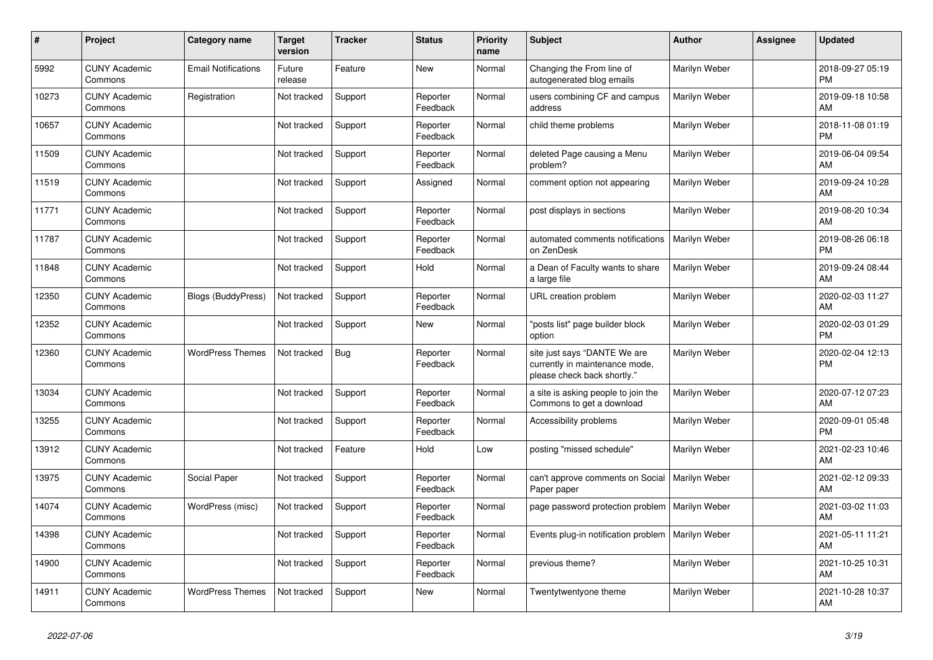| #     | Project                         | <b>Category name</b>       | <b>Target</b><br>version | <b>Tracker</b> | <b>Status</b>        | <b>Priority</b><br>name | <b>Subject</b>                                                                                | <b>Author</b> | Assignee | <b>Updated</b>                |
|-------|---------------------------------|----------------------------|--------------------------|----------------|----------------------|-------------------------|-----------------------------------------------------------------------------------------------|---------------|----------|-------------------------------|
| 5992  | <b>CUNY Academic</b><br>Commons | <b>Email Notifications</b> | Future<br>release        | Feature        | <b>New</b>           | Normal                  | Changing the From line of<br>autogenerated blog emails                                        | Marilyn Weber |          | 2018-09-27 05:19<br><b>PM</b> |
| 10273 | <b>CUNY Academic</b><br>Commons | Registration               | Not tracked              | Support        | Reporter<br>Feedback | Normal                  | users combining CF and campus<br>address                                                      | Marilyn Weber |          | 2019-09-18 10:58<br>AM        |
| 10657 | <b>CUNY Academic</b><br>Commons |                            | Not tracked              | Support        | Reporter<br>Feedback | Normal                  | child theme problems                                                                          | Marilyn Weber |          | 2018-11-08 01:19<br><b>PM</b> |
| 11509 | <b>CUNY Academic</b><br>Commons |                            | Not tracked              | Support        | Reporter<br>Feedback | Normal                  | deleted Page causing a Menu<br>problem?                                                       | Marilyn Weber |          | 2019-06-04 09:54<br>AM        |
| 11519 | <b>CUNY Academic</b><br>Commons |                            | Not tracked              | Support        | Assigned             | Normal                  | comment option not appearing                                                                  | Marilyn Weber |          | 2019-09-24 10:28<br>AM        |
| 11771 | <b>CUNY Academic</b><br>Commons |                            | Not tracked              | Support        | Reporter<br>Feedback | Normal                  | post displays in sections                                                                     | Marilyn Weber |          | 2019-08-20 10:34<br>AM        |
| 11787 | <b>CUNY Academic</b><br>Commons |                            | Not tracked              | Support        | Reporter<br>Feedback | Normal                  | automated comments notifications<br>on ZenDesk                                                | Marilyn Weber |          | 2019-08-26 06:18<br><b>PM</b> |
| 11848 | <b>CUNY Academic</b><br>Commons |                            | Not tracked              | Support        | Hold                 | Normal                  | a Dean of Faculty wants to share<br>a large file                                              | Marilyn Weber |          | 2019-09-24 08:44<br>AM        |
| 12350 | <b>CUNY Academic</b><br>Commons | <b>Blogs (BuddyPress)</b>  | Not tracked              | Support        | Reporter<br>Feedback | Normal                  | URL creation problem                                                                          | Marilyn Weber |          | 2020-02-03 11:27<br>AM        |
| 12352 | <b>CUNY Academic</b><br>Commons |                            | Not tracked              | Support        | New                  | Normal                  | "posts list" page builder block<br>option                                                     | Marilyn Weber |          | 2020-02-03 01:29<br><b>PM</b> |
| 12360 | <b>CUNY Academic</b><br>Commons | <b>WordPress Themes</b>    | Not tracked              | Bug            | Reporter<br>Feedback | Normal                  | site just says "DANTE We are<br>currently in maintenance mode,<br>please check back shortly." | Marilyn Weber |          | 2020-02-04 12:13<br><b>PM</b> |
| 13034 | <b>CUNY Academic</b><br>Commons |                            | Not tracked              | Support        | Reporter<br>Feedback | Normal                  | a site is asking people to join the<br>Commons to get a download                              | Marilyn Weber |          | 2020-07-12 07:23<br>AM        |
| 13255 | <b>CUNY Academic</b><br>Commons |                            | Not tracked              | Support        | Reporter<br>Feedback | Normal                  | Accessibility problems                                                                        | Marilyn Weber |          | 2020-09-01 05:48<br><b>PM</b> |
| 13912 | <b>CUNY Academic</b><br>Commons |                            | Not tracked              | Feature        | Hold                 | Low                     | posting "missed schedule"                                                                     | Marilyn Weber |          | 2021-02-23 10:46<br>AM        |
| 13975 | <b>CUNY Academic</b><br>Commons | Social Paper               | Not tracked              | Support        | Reporter<br>Feedback | Normal                  | can't approve comments on Social<br>Paper paper                                               | Marilyn Weber |          | 2021-02-12 09:33<br>AM        |
| 14074 | <b>CUNY Academic</b><br>Commons | WordPress (misc)           | Not tracked              | Support        | Reporter<br>Feedback | Normal                  | page password protection problem                                                              | Marilyn Weber |          | 2021-03-02 11:03<br>AM        |
| 14398 | <b>CUNY Academic</b><br>Commons |                            | Not tracked              | Support        | Reporter<br>Feedback | Normal                  | Events plug-in notification problem                                                           | Marilyn Weber |          | 2021-05-11 11:21<br>AM        |
| 14900 | <b>CUNY Academic</b><br>Commons |                            | Not tracked              | Support        | Reporter<br>Feedback | Normal                  | previous theme?                                                                               | Marilyn Weber |          | 2021-10-25 10:31<br>AM        |
| 14911 | <b>CUNY Academic</b><br>Commons | <b>WordPress Themes</b>    | Not tracked              | Support        | <b>New</b>           | Normal                  | Twentytwentyone theme                                                                         | Marilyn Weber |          | 2021-10-28 10:37<br>AM        |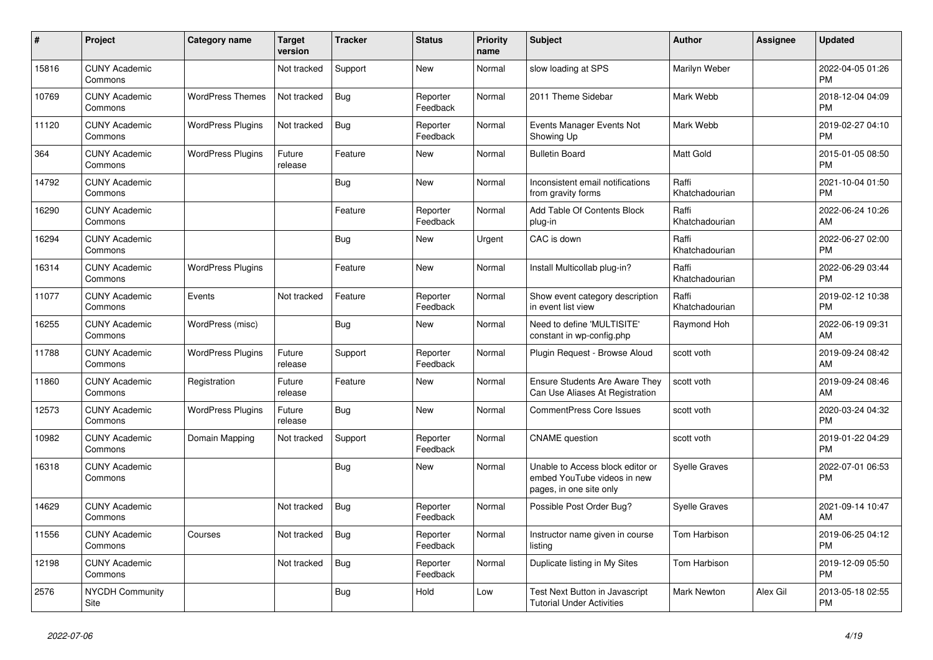| $\pmb{\#}$ | Project                         | <b>Category name</b>     | <b>Target</b><br>version | <b>Tracker</b> | <b>Status</b>        | <b>Priority</b><br>name | <b>Subject</b>                                                                             | <b>Author</b>           | Assignee | <b>Updated</b>                |
|------------|---------------------------------|--------------------------|--------------------------|----------------|----------------------|-------------------------|--------------------------------------------------------------------------------------------|-------------------------|----------|-------------------------------|
| 15816      | <b>CUNY Academic</b><br>Commons |                          | Not tracked              | Support        | <b>New</b>           | Normal                  | slow loading at SPS                                                                        | Marilyn Weber           |          | 2022-04-05 01:26<br><b>PM</b> |
| 10769      | <b>CUNY Academic</b><br>Commons | <b>WordPress Themes</b>  | Not tracked              | Bug            | Reporter<br>Feedback | Normal                  | 2011 Theme Sidebar                                                                         | Mark Webb               |          | 2018-12-04 04:09<br><b>PM</b> |
| 11120      | <b>CUNY Academic</b><br>Commons | <b>WordPress Plugins</b> | Not tracked              | Bug            | Reporter<br>Feedback | Normal                  | Events Manager Events Not<br>Showing Up                                                    | Mark Webb               |          | 2019-02-27 04:10<br><b>PM</b> |
| 364        | <b>CUNY Academic</b><br>Commons | <b>WordPress Plugins</b> | Future<br>release        | Feature        | <b>New</b>           | Normal                  | <b>Bulletin Board</b>                                                                      | <b>Matt Gold</b>        |          | 2015-01-05 08:50<br><b>PM</b> |
| 14792      | <b>CUNY Academic</b><br>Commons |                          |                          | Bug            | <b>New</b>           | Normal                  | Inconsistent email notifications<br>from gravity forms                                     | Raffi<br>Khatchadourian |          | 2021-10-04 01:50<br><b>PM</b> |
| 16290      | <b>CUNY Academic</b><br>Commons |                          |                          | Feature        | Reporter<br>Feedback | Normal                  | Add Table Of Contents Block<br>plug-in                                                     | Raffi<br>Khatchadourian |          | 2022-06-24 10:26<br><b>AM</b> |
| 16294      | <b>CUNY Academic</b><br>Commons |                          |                          | <b>Bug</b>     | <b>New</b>           | Urgent                  | CAC is down                                                                                | Raffi<br>Khatchadourian |          | 2022-06-27 02:00<br><b>PM</b> |
| 16314      | <b>CUNY Academic</b><br>Commons | <b>WordPress Plugins</b> |                          | Feature        | <b>New</b>           | Normal                  | Install Multicollab plug-in?                                                               | Raffi<br>Khatchadourian |          | 2022-06-29 03:44<br>PM        |
| 11077      | <b>CUNY Academic</b><br>Commons | Events                   | Not tracked              | Feature        | Reporter<br>Feedback | Normal                  | Show event category description<br>in event list view                                      | Raffi<br>Khatchadourian |          | 2019-02-12 10:38<br><b>PM</b> |
| 16255      | <b>CUNY Academic</b><br>Commons | WordPress (misc)         |                          | Bug            | <b>New</b>           | Normal                  | Need to define 'MULTISITE'<br>constant in wp-config.php                                    | Raymond Hoh             |          | 2022-06-19 09:31<br><b>AM</b> |
| 11788      | <b>CUNY Academic</b><br>Commons | <b>WordPress Plugins</b> | Future<br>release        | Support        | Reporter<br>Feedback | Normal                  | Plugin Request - Browse Aloud                                                              | scott voth              |          | 2019-09-24 08:42<br>AM        |
| 11860      | <b>CUNY Academic</b><br>Commons | Registration             | Future<br>release        | Feature        | <b>New</b>           | Normal                  | Ensure Students Are Aware They<br>Can Use Aliases At Registration                          | scott voth              |          | 2019-09-24 08:46<br>AM        |
| 12573      | <b>CUNY Academic</b><br>Commons | <b>WordPress Plugins</b> | Future<br>release        | Bug            | <b>New</b>           | Normal                  | <b>CommentPress Core Issues</b>                                                            | scott voth              |          | 2020-03-24 04:32<br><b>PM</b> |
| 10982      | <b>CUNY Academic</b><br>Commons | Domain Mapping           | Not tracked              | Support        | Reporter<br>Feedback | Normal                  | <b>CNAME</b> question                                                                      | scott voth              |          | 2019-01-22 04:29<br><b>PM</b> |
| 16318      | <b>CUNY Academic</b><br>Commons |                          |                          | <b>Bug</b>     | <b>New</b>           | Normal                  | Unable to Access block editor or<br>embed YouTube videos in new<br>pages, in one site only | <b>Syelle Graves</b>    |          | 2022-07-01 06:53<br>PM        |
| 14629      | <b>CUNY Academic</b><br>Commons |                          | Not tracked              | <b>Bug</b>     | Reporter<br>Feedback | Normal                  | Possible Post Order Bug?                                                                   | Syelle Graves           |          | 2021-09-14 10:47<br><b>AM</b> |
| 11556      | <b>CUNY Academic</b><br>Commons | Courses                  | Not tracked              | <b>Bug</b>     | Reporter<br>Feedback | Normal                  | Instructor name given in course<br>listina                                                 | Tom Harbison            |          | 2019-06-25 04:12<br><b>PM</b> |
| 12198      | <b>CUNY Academic</b><br>Commons |                          | Not tracked              | <b>Bug</b>     | Reporter<br>Feedback | Normal                  | Duplicate listing in My Sites                                                              | Tom Harbison            |          | 2019-12-09 05:50<br><b>PM</b> |
| 2576       | <b>NYCDH Community</b><br>Site  |                          |                          | <b>Bug</b>     | Hold                 | Low                     | Test Next Button in Javascript<br><b>Tutorial Under Activities</b>                         | <b>Mark Newton</b>      | Alex Gil | 2013-05-18 02:55<br><b>PM</b> |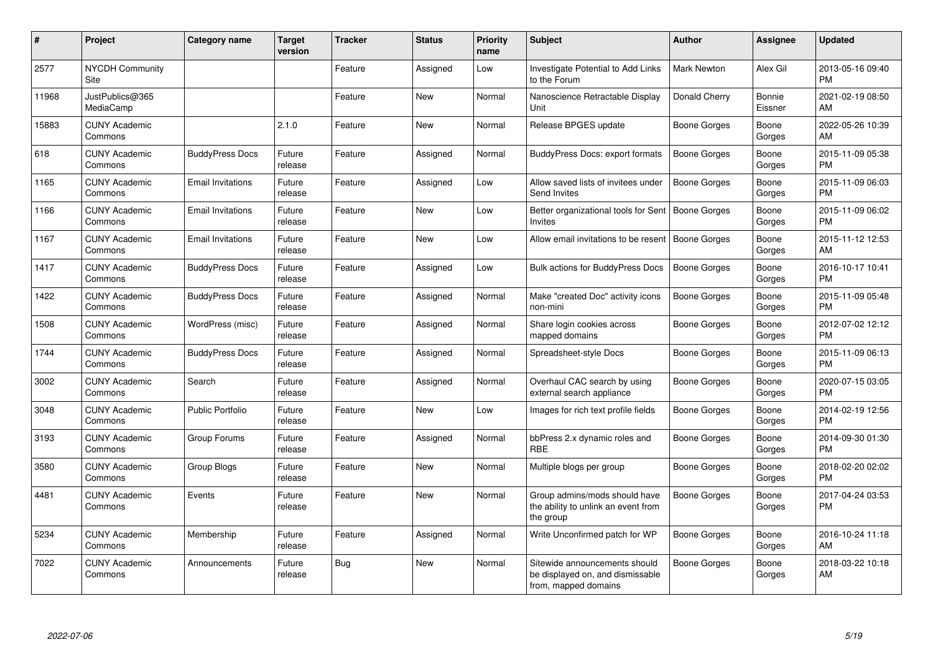| #     | <b>Project</b>                  | <b>Category name</b>     | Target<br>version | <b>Tracker</b> | <b>Status</b> | <b>Priority</b><br>name | <b>Subject</b>                                                                            | <b>Author</b>       | Assignee          | <b>Updated</b>                |
|-------|---------------------------------|--------------------------|-------------------|----------------|---------------|-------------------------|-------------------------------------------------------------------------------------------|---------------------|-------------------|-------------------------------|
| 2577  | NYCDH Community<br>Site         |                          |                   | Feature        | Assigned      | Low                     | Investigate Potential to Add Links<br>to the Forum                                        | <b>Mark Newton</b>  | Alex Gil          | 2013-05-16 09:40<br><b>PM</b> |
| 11968 | JustPublics@365<br>MediaCamp    |                          |                   | Feature        | New           | Normal                  | Nanoscience Retractable Display<br>Unit                                                   | Donald Cherry       | Bonnie<br>Eissner | 2021-02-19 08:50<br>AM        |
| 15883 | <b>CUNY Academic</b><br>Commons |                          | 2.1.0             | Feature        | <b>New</b>    | Normal                  | Release BPGES update                                                                      | Boone Gorges        | Boone<br>Gorges   | 2022-05-26 10:39<br>AM        |
| 618   | <b>CUNY Academic</b><br>Commons | <b>BuddyPress Docs</b>   | Future<br>release | Feature        | Assigned      | Normal                  | <b>BuddyPress Docs: export formats</b>                                                    | Boone Gorges        | Boone<br>Gorges   | 2015-11-09 05:38<br><b>PM</b> |
| 1165  | <b>CUNY Academic</b><br>Commons | <b>Email Invitations</b> | Future<br>release | Feature        | Assigned      | Low                     | Allow saved lists of invitees under<br>Send Invites                                       | Boone Gorges        | Boone<br>Gorges   | 2015-11-09 06:03<br><b>PM</b> |
| 1166  | <b>CUNY Academic</b><br>Commons | <b>Email Invitations</b> | Future<br>release | Feature        | <b>New</b>    | Low                     | Better organizational tools for Sent   Boone Gorges<br>Invites                            |                     | Boone<br>Gorges   | 2015-11-09 06:02<br><b>PM</b> |
| 1167  | <b>CUNY Academic</b><br>Commons | <b>Email Invitations</b> | Future<br>release | Feature        | New           | Low                     | Allow email invitations to be resent                                                      | Boone Gorges        | Boone<br>Gorges   | 2015-11-12 12:53<br>AM        |
| 1417  | <b>CUNY Academic</b><br>Commons | <b>BuddyPress Docs</b>   | Future<br>release | Feature        | Assigned      | Low                     | Bulk actions for BuddyPress Docs                                                          | <b>Boone Gorges</b> | Boone<br>Gorges   | 2016-10-17 10:41<br><b>PM</b> |
| 1422  | <b>CUNY Academic</b><br>Commons | <b>BuddyPress Docs</b>   | Future<br>release | Feature        | Assigned      | Normal                  | Make "created Doc" activity icons<br>non-mini                                             | <b>Boone Gorges</b> | Boone<br>Gorges   | 2015-11-09 05:48<br><b>PM</b> |
| 1508  | <b>CUNY Academic</b><br>Commons | WordPress (misc)         | Future<br>release | Feature        | Assigned      | Normal                  | Share login cookies across<br>mapped domains                                              | Boone Gorges        | Boone<br>Gorges   | 2012-07-02 12:12<br><b>PM</b> |
| 1744  | <b>CUNY Academic</b><br>Commons | <b>BuddyPress Docs</b>   | Future<br>release | Feature        | Assigned      | Normal                  | Spreadsheet-style Docs                                                                    | Boone Gorges        | Boone<br>Gorges   | 2015-11-09 06:13<br><b>PM</b> |
| 3002  | <b>CUNY Academic</b><br>Commons | Search                   | Future<br>release | Feature        | Assigned      | Normal                  | Overhaul CAC search by using<br>external search appliance                                 | Boone Gorges        | Boone<br>Gorges   | 2020-07-15 03:05<br>PM.       |
| 3048  | <b>CUNY Academic</b><br>Commons | <b>Public Portfolio</b>  | Future<br>release | Feature        | <b>New</b>    | Low                     | Images for rich text profile fields                                                       | Boone Gorges        | Boone<br>Gorges   | 2014-02-19 12:56<br><b>PM</b> |
| 3193  | <b>CUNY Academic</b><br>Commons | Group Forums             | Future<br>release | Feature        | Assigned      | Normal                  | bbPress 2.x dynamic roles and<br><b>RBE</b>                                               | Boone Gorges        | Boone<br>Gorges   | 2014-09-30 01:30<br><b>PM</b> |
| 3580  | <b>CUNY Academic</b><br>Commons | Group Blogs              | Future<br>release | Feature        | <b>New</b>    | Normal                  | Multiple blogs per group                                                                  | Boone Gorges        | Boone<br>Gorges   | 2018-02-20 02:02<br><b>PM</b> |
| 4481  | <b>CUNY Academic</b><br>Commons | Events                   | Future<br>release | Feature        | <b>New</b>    | Normal                  | Group admins/mods should have<br>the ability to unlink an event from<br>the group         | Boone Gorges        | Boone<br>Gorges   | 2017-04-24 03:53<br>PM        |
| 5234  | <b>CUNY Academic</b><br>Commons | Membership               | Future<br>release | Feature        | Assigned      | Normal                  | Write Unconfirmed patch for WP                                                            | Boone Gorges        | Boone<br>Gorges   | 2016-10-24 11:18<br><b>AM</b> |
| 7022  | <b>CUNY Academic</b><br>Commons | Announcements            | Future<br>release | Bug            | <b>New</b>    | Normal                  | Sitewide announcements should<br>be displayed on, and dismissable<br>from, mapped domains | <b>Boone Gorges</b> | Boone<br>Gorges   | 2018-03-22 10:18<br>AM        |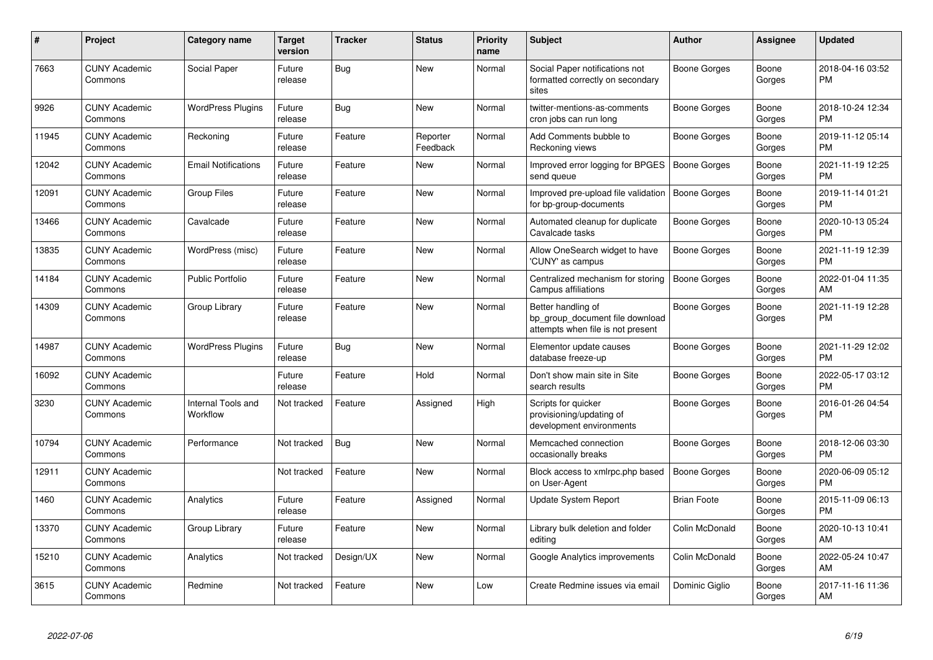| #     | Project                         | <b>Category name</b>                  | <b>Target</b><br>version | <b>Tracker</b> | <b>Status</b>        | <b>Priority</b><br>name | <b>Subject</b>                                                                             | <b>Author</b>       | Assignee        | <b>Updated</b>                |
|-------|---------------------------------|---------------------------------------|--------------------------|----------------|----------------------|-------------------------|--------------------------------------------------------------------------------------------|---------------------|-----------------|-------------------------------|
| 7663  | <b>CUNY Academic</b><br>Commons | Social Paper                          | Future<br>release        | Bug            | <b>New</b>           | Normal                  | Social Paper notifications not<br>formatted correctly on secondary<br>sites                | Boone Gorges        | Boone<br>Gorges | 2018-04-16 03:52<br><b>PM</b> |
| 9926  | <b>CUNY Academic</b><br>Commons | <b>WordPress Plugins</b>              | Future<br>release        | Bug            | New                  | Normal                  | twitter-mentions-as-comments<br>cron jobs can run long                                     | Boone Gorges        | Boone<br>Gorges | 2018-10-24 12:34<br><b>PM</b> |
| 11945 | <b>CUNY Academic</b><br>Commons | Reckoning                             | Future<br>release        | Feature        | Reporter<br>Feedback | Normal                  | Add Comments bubble to<br>Reckoning views                                                  | Boone Gorges        | Boone<br>Gorges | 2019-11-12 05:14<br><b>PM</b> |
| 12042 | <b>CUNY Academic</b><br>Commons | <b>Email Notifications</b>            | Future<br>release        | Feature        | New                  | Normal                  | Improved error logging for BPGES<br>send queue                                             | Boone Gorges        | Boone<br>Gorges | 2021-11-19 12:25<br><b>PM</b> |
| 12091 | <b>CUNY Academic</b><br>Commons | <b>Group Files</b>                    | Future<br>release        | Feature        | New                  | Normal                  | Improved pre-upload file validation<br>for bp-group-documents                              | Boone Gorges        | Boone<br>Gorges | 2019-11-14 01:21<br><b>PM</b> |
| 13466 | <b>CUNY Academic</b><br>Commons | Cavalcade                             | Future<br>release        | Feature        | <b>New</b>           | Normal                  | Automated cleanup for duplicate<br>Cavalcade tasks                                         | Boone Gorges        | Boone<br>Gorges | 2020-10-13 05:24<br><b>PM</b> |
| 13835 | <b>CUNY Academic</b><br>Commons | WordPress (misc)                      | Future<br>release        | Feature        | <b>New</b>           | Normal                  | Allow OneSearch widget to have<br>'CUNY' as campus                                         | Boone Gorges        | Boone<br>Gorges | 2021-11-19 12:39<br><b>PM</b> |
| 14184 | <b>CUNY Academic</b><br>Commons | <b>Public Portfolio</b>               | Future<br>release        | Feature        | New                  | Normal                  | Centralized mechanism for storing<br>Campus affiliations                                   | Boone Gorges        | Boone<br>Gorges | 2022-01-04 11:35<br>AM        |
| 14309 | <b>CUNY Academic</b><br>Commons | Group Library                         | Future<br>release        | Feature        | <b>New</b>           | Normal                  | Better handling of<br>bp group document file download<br>attempts when file is not present | <b>Boone Gorges</b> | Boone<br>Gorges | 2021-11-19 12:28<br>PM        |
| 14987 | <b>CUNY Academic</b><br>Commons | <b>WordPress Plugins</b>              | Future<br>release        | Bug            | <b>New</b>           | Normal                  | Elementor update causes<br>database freeze-up                                              | Boone Gorges        | Boone<br>Gorges | 2021-11-29 12:02<br><b>PM</b> |
| 16092 | <b>CUNY Academic</b><br>Commons |                                       | Future<br>release        | Feature        | Hold                 | Normal                  | Don't show main site in Site<br>search results                                             | Boone Gorges        | Boone<br>Gorges | 2022-05-17 03:12<br><b>PM</b> |
| 3230  | <b>CUNY Academic</b><br>Commons | <b>Internal Tools and</b><br>Workflow | Not tracked              | Feature        | Assigned             | High                    | Scripts for quicker<br>provisioning/updating of<br>development environments                | Boone Gorges        | Boone<br>Gorges | 2016-01-26 04:54<br>PM        |
| 10794 | <b>CUNY Academic</b><br>Commons | Performance                           | Not tracked              | <b>Bug</b>     | New                  | Normal                  | Memcached connection<br>occasionally breaks                                                | Boone Gorges        | Boone<br>Gorges | 2018-12-06 03:30<br><b>PM</b> |
| 12911 | <b>CUNY Academic</b><br>Commons |                                       | Not tracked              | Feature        | New                  | Normal                  | Block access to xmlrpc.php based<br>on User-Agent                                          | <b>Boone Gorges</b> | Boone<br>Gorges | 2020-06-09 05:12<br><b>PM</b> |
| 1460  | <b>CUNY Academic</b><br>Commons | Analytics                             | Future<br>release        | Feature        | Assigned             | Normal                  | Update System Report                                                                       | <b>Brian Foote</b>  | Boone<br>Gorges | 2015-11-09 06:13<br><b>PM</b> |
| 13370 | <b>CUNY Academic</b><br>Commons | Group Library                         | Future<br>release        | Feature        | <b>New</b>           | Normal                  | Library bulk deletion and folder<br>editing                                                | Colin McDonald      | Boone<br>Gorges | 2020-10-13 10:41<br>AM        |
| 15210 | <b>CUNY Academic</b><br>Commons | Analytics                             | Not tracked              | Design/UX      | <b>New</b>           | Normal                  | Google Analytics improvements                                                              | Colin McDonald      | Boone<br>Gorges | 2022-05-24 10:47<br>AM        |
| 3615  | <b>CUNY Academic</b><br>Commons | Redmine                               | Not tracked              | Feature        | <b>New</b>           | Low                     | Create Redmine issues via email                                                            | Dominic Giglio      | Boone<br>Gorges | 2017-11-16 11:36<br>AM        |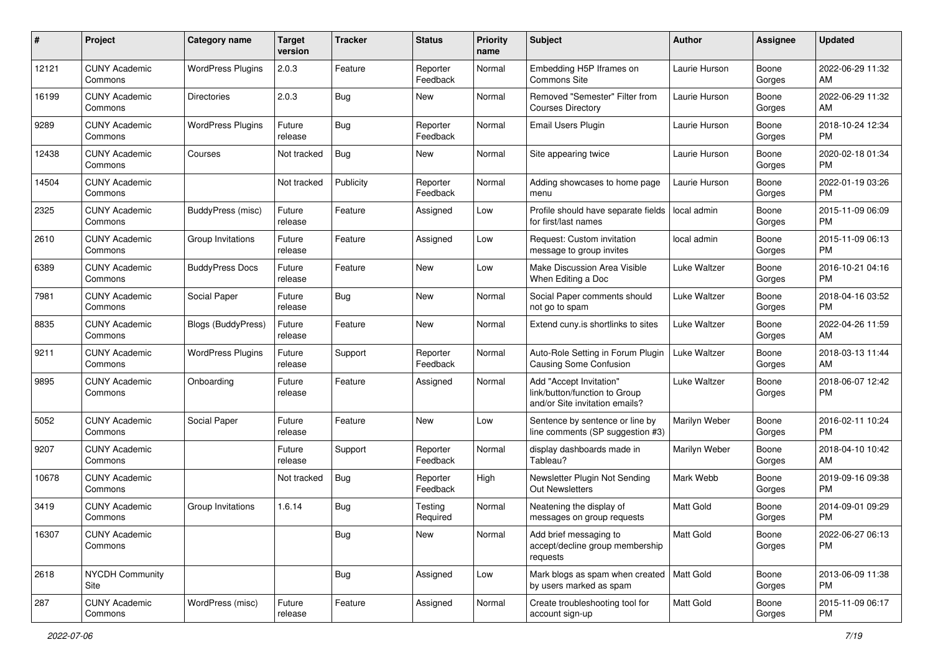| $\#$  | Project                         | <b>Category name</b>      | <b>Target</b><br>version | <b>Tracker</b> | <b>Status</b>        | <b>Priority</b><br>name | <b>Subject</b>                                                                             | Author           | <b>Assignee</b> | <b>Updated</b>                |
|-------|---------------------------------|---------------------------|--------------------------|----------------|----------------------|-------------------------|--------------------------------------------------------------------------------------------|------------------|-----------------|-------------------------------|
| 12121 | <b>CUNY Academic</b><br>Commons | <b>WordPress Plugins</b>  | 2.0.3                    | Feature        | Reporter<br>Feedback | Normal                  | Embedding H5P Iframes on<br><b>Commons Site</b>                                            | Laurie Hurson    | Boone<br>Gorges | 2022-06-29 11:32<br>AM        |
| 16199 | <b>CUNY Academic</b><br>Commons | <b>Directories</b>        | 2.0.3                    | Bug            | New                  | Normal                  | Removed "Semester" Filter from<br><b>Courses Directory</b>                                 | Laurie Hurson    | Boone<br>Gorges | 2022-06-29 11:32<br>AM        |
| 9289  | <b>CUNY Academic</b><br>Commons | <b>WordPress Plugins</b>  | Future<br>release        | <b>Bug</b>     | Reporter<br>Feedback | Normal                  | Email Users Plugin                                                                         | Laurie Hurson    | Boone<br>Gorges | 2018-10-24 12:34<br><b>PM</b> |
| 12438 | <b>CUNY Academic</b><br>Commons | Courses                   | Not tracked              | Bug            | New                  | Normal                  | Site appearing twice                                                                       | Laurie Hurson    | Boone<br>Gorges | 2020-02-18 01:34<br><b>PM</b> |
| 14504 | <b>CUNY Academic</b><br>Commons |                           | Not tracked              | Publicity      | Reporter<br>Feedback | Normal                  | Adding showcases to home page<br>menu                                                      | Laurie Hurson    | Boone<br>Gorges | 2022-01-19 03:26<br><b>PM</b> |
| 2325  | <b>CUNY Academic</b><br>Commons | BuddyPress (misc)         | Future<br>release        | Feature        | Assigned             | Low                     | Profile should have separate fields<br>for first/last names                                | local admin      | Boone<br>Gorges | 2015-11-09 06:09<br><b>PM</b> |
| 2610  | <b>CUNY Academic</b><br>Commons | Group Invitations         | Future<br>release        | Feature        | Assigned             | Low                     | Request: Custom invitation<br>message to group invites                                     | local admin      | Boone<br>Gorges | 2015-11-09 06:13<br><b>PM</b> |
| 6389  | <b>CUNY Academic</b><br>Commons | <b>BuddyPress Docs</b>    | Future<br>release        | Feature        | <b>New</b>           | Low                     | Make Discussion Area Visible<br>When Editing a Doc                                         | Luke Waltzer     | Boone<br>Gorges | 2016-10-21 04:16<br><b>PM</b> |
| 7981  | <b>CUNY Academic</b><br>Commons | Social Paper              | Future<br>release        | <b>Bug</b>     | New                  | Normal                  | Social Paper comments should<br>not go to spam                                             | Luke Waltzer     | Boone<br>Gorges | 2018-04-16 03:52<br><b>PM</b> |
| 8835  | <b>CUNY Academic</b><br>Commons | <b>Blogs (BuddyPress)</b> | Future<br>release        | Feature        | New                  | Normal                  | Extend cuny.is shortlinks to sites                                                         | Luke Waltzer     | Boone<br>Gorges | 2022-04-26 11:59<br>AM        |
| 9211  | <b>CUNY Academic</b><br>Commons | <b>WordPress Plugins</b>  | Future<br>release        | Support        | Reporter<br>Feedback | Normal                  | Auto-Role Setting in Forum Plugin<br><b>Causing Some Confusion</b>                         | Luke Waltzer     | Boone<br>Gorges | 2018-03-13 11:44<br>AM        |
| 9895  | <b>CUNY Academic</b><br>Commons | Onboarding                | Future<br>release        | Feature        | Assigned             | Normal                  | Add "Accept Invitation"<br>link/button/function to Group<br>and/or Site invitation emails? | Luke Waltzer     | Boone<br>Gorges | 2018-06-07 12:42<br><b>PM</b> |
| 5052  | <b>CUNY Academic</b><br>Commons | Social Paper              | Future<br>release        | Feature        | <b>New</b>           | Low                     | Sentence by sentence or line by<br>line comments (SP suggestion #3)                        | Marilyn Weber    | Boone<br>Gorges | 2016-02-11 10:24<br><b>PM</b> |
| 9207  | <b>CUNY Academic</b><br>Commons |                           | Future<br>release        | Support        | Reporter<br>Feedback | Normal                  | display dashboards made in<br>Tableau?                                                     | Marilyn Weber    | Boone<br>Gorges | 2018-04-10 10:42<br>AM        |
| 10678 | <b>CUNY Academic</b><br>Commons |                           | Not tracked              | Bug            | Reporter<br>Feedback | High                    | Newsletter Plugin Not Sending<br>Out Newsletters                                           | Mark Webb        | Boone<br>Gorges | 2019-09-16 09:38<br><b>PM</b> |
| 3419  | <b>CUNY Academic</b><br>Commons | Group Invitations         | 1.6.14                   | <b>Bug</b>     | Testing<br>Required  | Normal                  | Neatening the display of<br>messages on group requests                                     | <b>Matt Gold</b> | Boone<br>Gorges | 2014-09-01 09:29<br><b>PM</b> |
| 16307 | <b>CUNY Academic</b><br>Commons |                           |                          | <b>Bug</b>     | New                  | Normal                  | Add brief messaging to<br>accept/decline group membership<br>requests                      | Matt Gold        | Boone<br>Gorges | 2022-06-27 06:13<br><b>PM</b> |
| 2618  | <b>NYCDH Community</b><br>Site  |                           |                          | <b>Bug</b>     | Assigned             | Low                     | Mark blogs as spam when created   Matt Gold<br>by users marked as spam                     |                  | Boone<br>Gorges | 2013-06-09 11:38<br><b>PM</b> |
| 287   | <b>CUNY Academic</b><br>Commons | WordPress (misc)          | Future<br>release        | Feature        | Assigned             | Normal                  | Create troubleshooting tool for<br>account sign-up                                         | Matt Gold        | Boone<br>Gorges | 2015-11-09 06:17<br>PM        |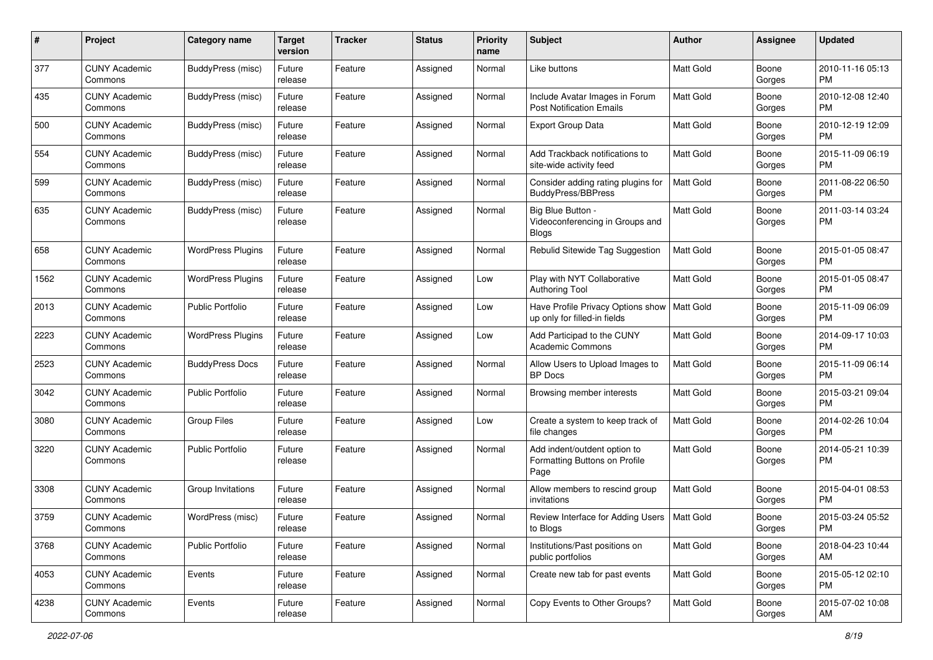| #    | Project                         | <b>Category name</b>     | <b>Target</b><br>version | <b>Tracker</b> | <b>Status</b> | <b>Priority</b><br>name | <b>Subject</b>                                                        | Author           | Assignee        | <b>Updated</b>                |
|------|---------------------------------|--------------------------|--------------------------|----------------|---------------|-------------------------|-----------------------------------------------------------------------|------------------|-----------------|-------------------------------|
| 377  | <b>CUNY Academic</b><br>Commons | BuddyPress (misc)        | Future<br>release        | Feature        | Assigned      | Normal                  | Like buttons                                                          | <b>Matt Gold</b> | Boone<br>Gorges | 2010-11-16 05:13<br>PM        |
| 435  | <b>CUNY Academic</b><br>Commons | <b>BuddyPress</b> (misc) | Future<br>release        | Feature        | Assigned      | Normal                  | Include Avatar Images in Forum<br><b>Post Notification Emails</b>     | <b>Matt Gold</b> | Boone<br>Gorges | 2010-12-08 12:40<br><b>PM</b> |
| 500  | CUNY Academic<br>Commons        | <b>BuddyPress</b> (misc) | Future<br>release        | Feature        | Assigned      | Normal                  | Export Group Data                                                     | <b>Matt Gold</b> | Boone<br>Gorges | 2010-12-19 12:09<br>PM        |
| 554  | <b>CUNY Academic</b><br>Commons | BuddyPress (misc)        | Future<br>release        | Feature        | Assigned      | Normal                  | Add Trackback notifications to<br>site-wide activity feed             | <b>Matt Gold</b> | Boone<br>Gorges | 2015-11-09 06:19<br><b>PM</b> |
| 599  | <b>CUNY Academic</b><br>Commons | BuddyPress (misc)        | Future<br>release        | Feature        | Assigned      | Normal                  | Consider adding rating plugins for<br><b>BuddyPress/BBPress</b>       | <b>Matt Gold</b> | Boone<br>Gorges | 2011-08-22 06:50<br><b>PM</b> |
| 635  | <b>CUNY Academic</b><br>Commons | BuddyPress (misc)        | Future<br>release        | Feature        | Assigned      | Normal                  | Big Blue Button -<br>Videoconferencing in Groups and<br><b>Blogs</b>  | Matt Gold        | Boone<br>Gorges | 2011-03-14 03:24<br><b>PM</b> |
| 658  | <b>CUNY Academic</b><br>Commons | <b>WordPress Plugins</b> | Future<br>release        | Feature        | Assigned      | Normal                  | Rebulid Sitewide Tag Suggestion                                       | <b>Matt Gold</b> | Boone<br>Gorges | 2015-01-05 08:47<br><b>PM</b> |
| 1562 | <b>CUNY Academic</b><br>Commons | <b>WordPress Plugins</b> | Future<br>release        | Feature        | Assigned      | Low                     | Play with NYT Collaborative<br><b>Authoring Tool</b>                  | <b>Matt Gold</b> | Boone<br>Gorges | 2015-01-05 08:47<br><b>PM</b> |
| 2013 | <b>CUNY Academic</b><br>Commons | <b>Public Portfolio</b>  | Future<br>release        | Feature        | Assigned      | Low                     | Have Profile Privacy Options show<br>up only for filled-in fields     | Matt Gold        | Boone<br>Gorges | 2015-11-09 06:09<br><b>PM</b> |
| 2223 | <b>CUNY Academic</b><br>Commons | <b>WordPress Plugins</b> | Future<br>release        | Feature        | Assigned      | Low                     | Add Participad to the CUNY<br><b>Academic Commons</b>                 | <b>Matt Gold</b> | Boone<br>Gorges | 2014-09-17 10:03<br><b>PM</b> |
| 2523 | CUNY Academic<br>Commons        | <b>BuddyPress Docs</b>   | Future<br>release        | Feature        | Assigned      | Normal                  | Allow Users to Upload Images to<br><b>BP</b> Docs                     | Matt Gold        | Boone<br>Gorges | 2015-11-09 06:14<br><b>PM</b> |
| 3042 | <b>CUNY Academic</b><br>Commons | <b>Public Portfolio</b>  | Future<br>release        | Feature        | Assigned      | Normal                  | Browsing member interests                                             | Matt Gold        | Boone<br>Gorges | 2015-03-21 09:04<br><b>PM</b> |
| 3080 | <b>CUNY Academic</b><br>Commons | <b>Group Files</b>       | Future<br>release        | Feature        | Assigned      | Low                     | Create a system to keep track of<br>file changes                      | <b>Matt Gold</b> | Boone<br>Gorges | 2014-02-26 10:04<br><b>PM</b> |
| 3220 | <b>CUNY Academic</b><br>Commons | <b>Public Portfolio</b>  | Future<br>release        | Feature        | Assigned      | Normal                  | Add indent/outdent option to<br>Formatting Buttons on Profile<br>Page | Matt Gold        | Boone<br>Gorges | 2014-05-21 10:39<br><b>PM</b> |
| 3308 | <b>CUNY Academic</b><br>Commons | <b>Group Invitations</b> | Future<br>release        | Feature        | Assigned      | Normal                  | Allow members to rescind group<br>invitations                         | <b>Matt Gold</b> | Boone<br>Gorges | 2015-04-01 08:53<br><b>PM</b> |
| 3759 | CUNY Academic<br>Commons        | WordPress (misc)         | Future<br>release        | Feature        | Assigned      | Normal                  | Review Interface for Adding Users<br>to Blogs                         | Matt Gold        | Boone<br>Gorges | 2015-03-24 05:52<br>PM        |
| 3768 | <b>CUNY Academic</b><br>Commons | <b>Public Portfolio</b>  | Future<br>release        | Feature        | Assigned      | Normal                  | Institutions/Past positions on<br>public portfolios                   | Matt Gold        | Boone<br>Gorges | 2018-04-23 10:44<br>AM        |
| 4053 | <b>CUNY Academic</b><br>Commons | Events                   | Future<br>release        | Feature        | Assigned      | Normal                  | Create new tab for past events                                        | <b>Matt Gold</b> | Boone<br>Gorges | 2015-05-12 02:10<br><b>PM</b> |
| 4238 | <b>CUNY Academic</b><br>Commons | Events                   | Future<br>release        | Feature        | Assigned      | Normal                  | Copy Events to Other Groups?                                          | Matt Gold        | Boone<br>Gorges | 2015-07-02 10:08<br>AM        |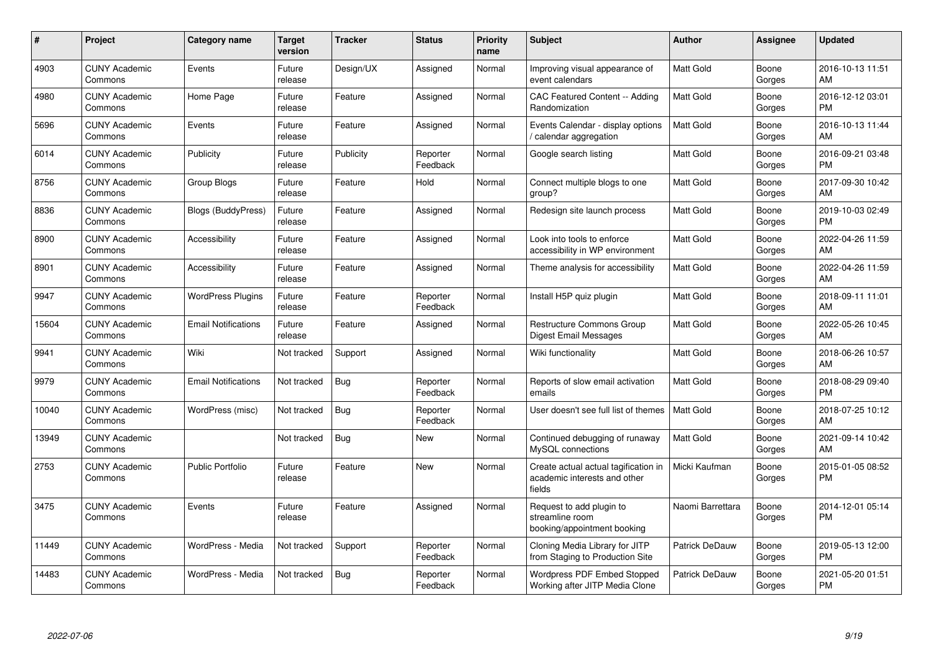| #     | Project                         | <b>Category name</b>       | Target<br>version | <b>Tracker</b> | <b>Status</b>        | Priority<br>name | <b>Subject</b>                                                                 | <b>Author</b>    | <b>Assignee</b> | <b>Updated</b>                |
|-------|---------------------------------|----------------------------|-------------------|----------------|----------------------|------------------|--------------------------------------------------------------------------------|------------------|-----------------|-------------------------------|
| 4903  | <b>CUNY Academic</b><br>Commons | Events                     | Future<br>release | Design/UX      | Assigned             | Normal           | Improving visual appearance of<br>event calendars                              | <b>Matt Gold</b> | Boone<br>Gorges | 2016-10-13 11:51<br>AM        |
| 4980  | <b>CUNY Academic</b><br>Commons | Home Page                  | Future<br>release | Feature        | Assigned             | Normal           | CAC Featured Content -- Adding<br>Randomization                                | <b>Matt Gold</b> | Boone<br>Gorges | 2016-12-12 03:01<br><b>PM</b> |
| 5696  | <b>CUNY Academic</b><br>Commons | Events                     | Future<br>release | Feature        | Assigned             | Normal           | Events Calendar - display options<br>calendar aggregation                      | <b>Matt Gold</b> | Boone<br>Gorges | 2016-10-13 11:44<br>AM        |
| 6014  | <b>CUNY Academic</b><br>Commons | Publicity                  | Future<br>release | Publicity      | Reporter<br>Feedback | Normal           | Google search listing                                                          | Matt Gold        | Boone<br>Gorges | 2016-09-21 03:48<br><b>PM</b> |
| 8756  | <b>CUNY Academic</b><br>Commons | <b>Group Blogs</b>         | Future<br>release | Feature        | Hold                 | Normal           | Connect multiple blogs to one<br>group?                                        | Matt Gold        | Boone<br>Gorges | 2017-09-30 10:42<br>AM        |
| 8836  | <b>CUNY Academic</b><br>Commons | Blogs (BuddyPress)         | Future<br>release | Feature        | Assigned             | Normal           | Redesign site launch process                                                   | <b>Matt Gold</b> | Boone<br>Gorges | 2019-10-03 02:49<br><b>PM</b> |
| 8900  | <b>CUNY Academic</b><br>Commons | Accessibility              | Future<br>release | Feature        | Assigned             | Normal           | Look into tools to enforce<br>accessibility in WP environment                  | Matt Gold        | Boone<br>Gorges | 2022-04-26 11:59<br>AM        |
| 8901  | <b>CUNY Academic</b><br>Commons | Accessibility              | Future<br>release | Feature        | Assigned             | Normal           | Theme analysis for accessibility                                               | Matt Gold        | Boone<br>Gorges | 2022-04-26 11:59<br>AM        |
| 9947  | <b>CUNY Academic</b><br>Commons | <b>WordPress Plugins</b>   | Future<br>release | Feature        | Reporter<br>Feedback | Normal           | Install H5P quiz plugin                                                        | <b>Matt Gold</b> | Boone<br>Gorges | 2018-09-11 11:01<br>AM        |
| 15604 | <b>CUNY Academic</b><br>Commons | <b>Email Notifications</b> | Future<br>release | Feature        | Assigned             | Normal           | Restructure Commons Group<br>Digest Email Messages                             | Matt Gold        | Boone<br>Gorges | 2022-05-26 10:45<br>AM        |
| 9941  | <b>CUNY Academic</b><br>Commons | Wiki                       | Not tracked       | Support        | Assigned             | Normal           | Wiki functionality                                                             | <b>Matt Gold</b> | Boone<br>Gorges | 2018-06-26 10:57<br>AM        |
| 9979  | <b>CUNY Academic</b><br>Commons | <b>Email Notifications</b> | Not tracked       | Bug            | Reporter<br>Feedback | Normal           | Reports of slow email activation<br>emails                                     | Matt Gold        | Boone<br>Gorges | 2018-08-29 09:40<br><b>PM</b> |
| 10040 | <b>CUNY Academic</b><br>Commons | WordPress (misc)           | Not tracked       | <b>Bug</b>     | Reporter<br>Feedback | Normal           | User doesn't see full list of themes                                           | <b>Matt Gold</b> | Boone<br>Gorges | 2018-07-25 10:12<br>AM        |
| 13949 | <b>CUNY Academic</b><br>Commons |                            | Not tracked       | Bug            | <b>New</b>           | Normal           | Continued debugging of runaway<br>MySQL connections                            | Matt Gold        | Boone<br>Gorges | 2021-09-14 10:42<br>AM        |
| 2753  | <b>CUNY Academic</b><br>Commons | <b>Public Portfolio</b>    | Future<br>release | Feature        | New                  | Normal           | Create actual actual tagification in<br>academic interests and other<br>fields | Micki Kaufman    | Boone<br>Gorges | 2015-01-05 08:52<br>PM        |
| 3475  | <b>CUNY Academic</b><br>Commons | Events                     | Future<br>release | Feature        | Assigned             | Normal           | Request to add plugin to<br>streamline room<br>booking/appointment booking     | Naomi Barrettara | Boone<br>Gorges | 2014-12-01 05:14<br><b>PM</b> |
| 11449 | <b>CUNY Academic</b><br>Commons | WordPress - Media          | Not tracked       | Support        | Reporter<br>Feedback | Normal           | Cloning Media Library for JITP<br>from Staging to Production Site              | Patrick DeDauw   | Boone<br>Gorges | 2019-05-13 12:00<br><b>PM</b> |
| 14483 | <b>CUNY Academic</b><br>Commons | WordPress - Media          | Not tracked       | Bug            | Reporter<br>Feedback | Normal           | <b>Wordpress PDF Embed Stopped</b><br>Working after JITP Media Clone           | Patrick DeDauw   | Boone<br>Gorges | 2021-05-20 01:51<br>PM        |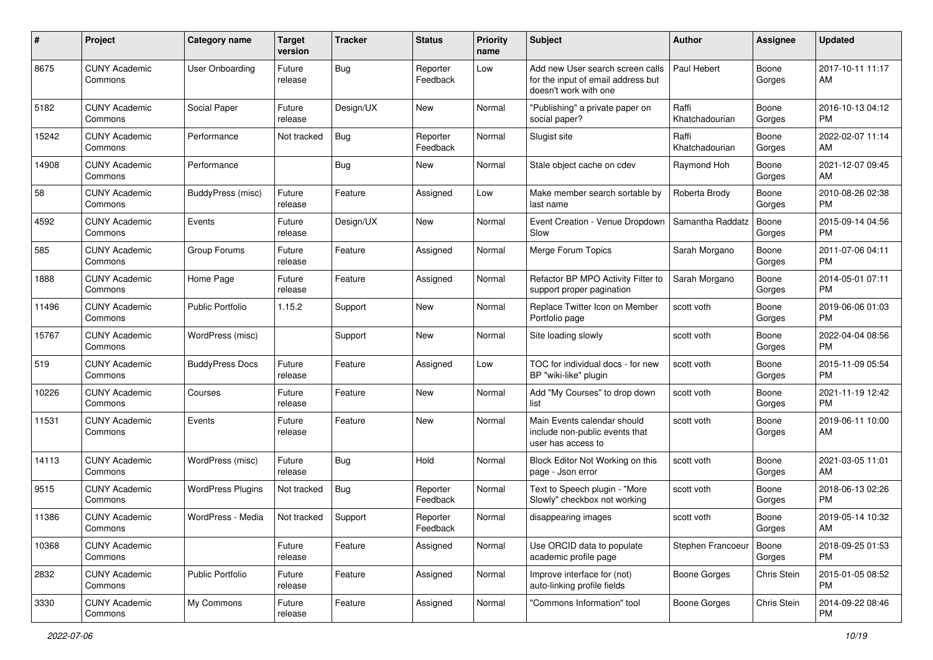| #     | Project                         | <b>Category name</b>     | <b>Target</b><br>version | <b>Tracker</b> | <b>Status</b>        | <b>Priority</b><br>name | <b>Subject</b>                                                                                  | Author                  | <b>Assignee</b> | <b>Updated</b>                |
|-------|---------------------------------|--------------------------|--------------------------|----------------|----------------------|-------------------------|-------------------------------------------------------------------------------------------------|-------------------------|-----------------|-------------------------------|
| 8675  | <b>CUNY Academic</b><br>Commons | User Onboarding          | Future<br>release        | <b>Bug</b>     | Reporter<br>Feedback | Low                     | Add new User search screen calls<br>for the input of email address but<br>doesn't work with one | Paul Hebert             | Boone<br>Gorges | 2017-10-11 11:17<br>AM        |
| 5182  | <b>CUNY Academic</b><br>Commons | Social Paper             | Future<br>release        | Design/UX      | New                  | Normal                  | "Publishing" a private paper on<br>social paper?                                                | Raffi<br>Khatchadourian | Boone<br>Gorges | 2016-10-13 04:12<br>PM        |
| 15242 | <b>CUNY Academic</b><br>Commons | Performance              | Not tracked              | Bug            | Reporter<br>Feedback | Normal                  | Slugist site                                                                                    | Raffi<br>Khatchadourian | Boone<br>Gorges | 2022-02-07 11:14<br>AM        |
| 14908 | <b>CUNY Academic</b><br>Commons | Performance              |                          | <b>Bug</b>     | New                  | Normal                  | Stale object cache on cdev                                                                      | Raymond Hoh             | Boone<br>Gorges | 2021-12-07 09:45<br>AM        |
| 58    | <b>CUNY Academic</b><br>Commons | BuddyPress (misc)        | Future<br>release        | Feature        | Assigned             | Low                     | Make member search sortable by<br>last name                                                     | Roberta Brody           | Boone<br>Gorges | 2010-08-26 02:38<br><b>PM</b> |
| 4592  | <b>CUNY Academic</b><br>Commons | Events                   | Future<br>release        | Design/UX      | New                  | Normal                  | Event Creation - Venue Dropdown<br>Slow                                                         | Samantha Raddatz        | Boone<br>Gorges | 2015-09-14 04:56<br><b>PM</b> |
| 585   | <b>CUNY Academic</b><br>Commons | Group Forums             | Future<br>release        | Feature        | Assigned             | Normal                  | Merge Forum Topics                                                                              | Sarah Morgano           | Boone<br>Gorges | 2011-07-06 04:11<br><b>PM</b> |
| 1888  | <b>CUNY Academic</b><br>Commons | Home Page                | Future<br>release        | Feature        | Assigned             | Normal                  | Refactor BP MPO Activity Filter to<br>support proper pagination                                 | Sarah Morgano           | Boone<br>Gorges | 2014-05-01 07:11<br><b>PM</b> |
| 11496 | <b>CUNY Academic</b><br>Commons | <b>Public Portfolio</b>  | 1.15.2                   | Support        | New                  | Normal                  | Replace Twitter Icon on Member<br>Portfolio page                                                | scott voth              | Boone<br>Gorges | 2019-06-06 01:03<br>PM        |
| 15767 | <b>CUNY Academic</b><br>Commons | WordPress (misc)         |                          | Support        | New                  | Normal                  | Site loading slowly                                                                             | scott voth              | Boone<br>Gorges | 2022-04-04 08:56<br><b>PM</b> |
| 519   | <b>CUNY Academic</b><br>Commons | <b>BuddyPress Docs</b>   | Future<br>release        | Feature        | Assigned             | Low                     | TOC for individual docs - for new<br>BP "wiki-like" plugin                                      | scott voth              | Boone<br>Gorges | 2015-11-09 05:54<br><b>PM</b> |
| 10226 | <b>CUNY Academic</b><br>Commons | Courses                  | Future<br>release        | Feature        | New                  | Normal                  | Add "My Courses" to drop down<br>list                                                           | scott voth              | Boone<br>Gorges | 2021-11-19 12:42<br><b>PM</b> |
| 11531 | <b>CUNY Academic</b><br>Commons | Events                   | Future<br>release        | Feature        | New                  | Normal                  | Main Events calendar should<br>include non-public events that<br>user has access to             | scott voth              | Boone<br>Gorges | 2019-06-11 10:00<br>AM        |
| 14113 | <b>CUNY Academic</b><br>Commons | WordPress (misc)         | Future<br>release        | Bug            | Hold                 | Normal                  | Block Editor Not Working on this<br>page - Json error                                           | scott voth              | Boone<br>Gorges | 2021-03-05 11:01<br>AM        |
| 9515  | <b>CUNY Academic</b><br>Commons | <b>WordPress Plugins</b> | Not tracked              | Bug            | Reporter<br>Feedback | Normal                  | Text to Speech plugin - "More<br>Slowly" checkbox not working                                   | scott voth              | Boone<br>Gorges | 2018-06-13 02:26<br><b>PM</b> |
| 11386 | <b>CUNY Academic</b><br>Commons | WordPress - Media        | Not tracked              | Support        | Reporter<br>Feedback | Normal                  | disappearing images                                                                             | scott voth              | Boone<br>Gorges | 2019-05-14 10:32<br>AM        |
| 10368 | <b>CUNY Academic</b><br>Commons |                          | Future<br>release        | Feature        | Assigned             | Normal                  | Use ORCID data to populate<br>academic profile page                                             | Stephen Francoeur       | Boone<br>Gorges | 2018-09-25 01:53<br><b>PM</b> |
| 2832  | <b>CUNY Academic</b><br>Commons | Public Portfolio         | Future<br>release        | Feature        | Assigned             | Normal                  | Improve interface for (not)<br>auto-linking profile fields                                      | Boone Gorges            | Chris Stein     | 2015-01-05 08:52<br><b>PM</b> |
| 3330  | <b>CUNY Academic</b><br>Commons | My Commons               | Future<br>release        | Feature        | Assigned             | Normal                  | "Commons Information" tool                                                                      | Boone Gorges            | Chris Stein     | 2014-09-22 08:46<br>PM        |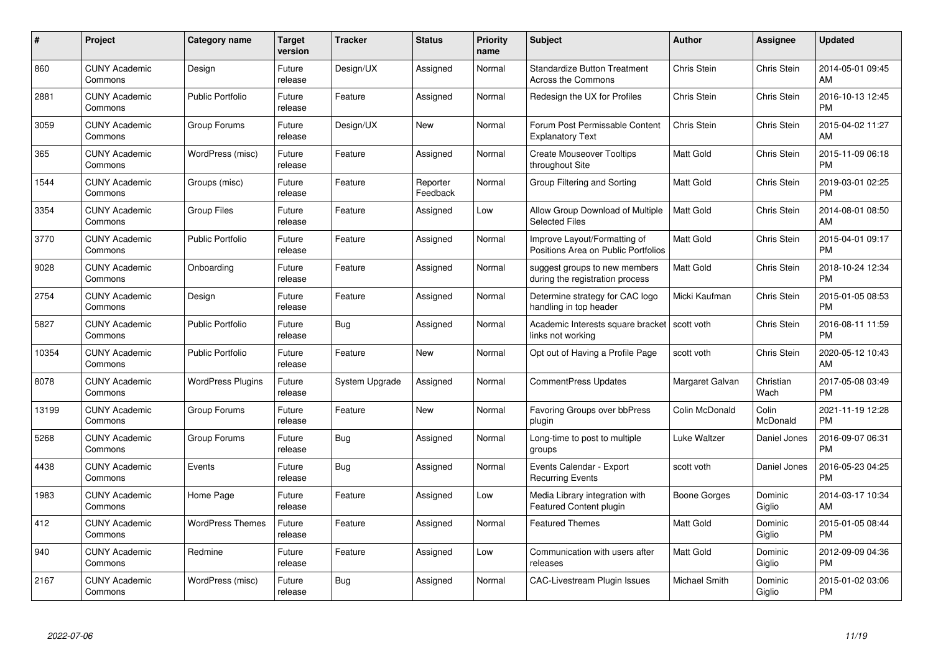| #     | Project                         | Category name            | <b>Target</b><br>version | <b>Tracker</b> | <b>Status</b>        | <b>Priority</b><br>name | <b>Subject</b>                                                      | <b>Author</b>    | Assignee           | <b>Updated</b>                |
|-------|---------------------------------|--------------------------|--------------------------|----------------|----------------------|-------------------------|---------------------------------------------------------------------|------------------|--------------------|-------------------------------|
| 860   | <b>CUNY Academic</b><br>Commons | Design                   | Future<br>release        | Design/UX      | Assigned             | Normal                  | <b>Standardize Button Treatment</b><br>Across the Commons           | Chris Stein      | Chris Stein        | 2014-05-01 09:45<br>AM        |
| 2881  | <b>CUNY Academic</b><br>Commons | <b>Public Portfolio</b>  | Future<br>release        | Feature        | Assigned             | Normal                  | Redesign the UX for Profiles                                        | Chris Stein      | <b>Chris Stein</b> | 2016-10-13 12:45<br><b>PM</b> |
| 3059  | <b>CUNY Academic</b><br>Commons | Group Forums             | Future<br>release        | Design/UX      | <b>New</b>           | Normal                  | Forum Post Permissable Content<br><b>Explanatory Text</b>           | Chris Stein      | <b>Chris Stein</b> | 2015-04-02 11:27<br>AM        |
| 365   | <b>CUNY Academic</b><br>Commons | WordPress (misc)         | Future<br>release        | Feature        | Assigned             | Normal                  | <b>Create Mouseover Tooltips</b><br>throughout Site                 | <b>Matt Gold</b> | Chris Stein        | 2015-11-09 06:18<br><b>PM</b> |
| 1544  | <b>CUNY Academic</b><br>Commons | Groups (misc)            | Future<br>release        | Feature        | Reporter<br>Feedback | Normal                  | Group Filtering and Sorting                                         | <b>Matt Gold</b> | Chris Stein        | 2019-03-01 02:25<br><b>PM</b> |
| 3354  | <b>CUNY Academic</b><br>Commons | <b>Group Files</b>       | Future<br>release        | Feature        | Assigned             | Low                     | Allow Group Download of Multiple<br><b>Selected Files</b>           | <b>Matt Gold</b> | Chris Stein        | 2014-08-01 08:50<br>AM        |
| 3770  | <b>CUNY Academic</b><br>Commons | <b>Public Portfolio</b>  | Future<br>release        | Feature        | Assigned             | Normal                  | Improve Layout/Formatting of<br>Positions Area on Public Portfolios | <b>Matt Gold</b> | <b>Chris Stein</b> | 2015-04-01 09:17<br><b>PM</b> |
| 9028  | <b>CUNY Academic</b><br>Commons | Onboarding               | Future<br>release        | Feature        | Assigned             | Normal                  | suggest groups to new members<br>during the registration process    | <b>Matt Gold</b> | Chris Stein        | 2018-10-24 12:34<br><b>PM</b> |
| 2754  | <b>CUNY Academic</b><br>Commons | Design                   | Future<br>release        | Feature        | Assigned             | Normal                  | Determine strategy for CAC logo<br>handling in top header           | Micki Kaufman    | Chris Stein        | 2015-01-05 08:53<br><b>PM</b> |
| 5827  | <b>CUNY Academic</b><br>Commons | <b>Public Portfolio</b>  | Future<br>release        | Bug            | Assigned             | Normal                  | Academic Interests square bracket<br>links not working              | scott voth       | Chris Stein        | 2016-08-11 11:59<br><b>PM</b> |
| 10354 | <b>CUNY Academic</b><br>Commons | <b>Public Portfolio</b>  | Future<br>release        | Feature        | New                  | Normal                  | Opt out of Having a Profile Page                                    | scott voth       | Chris Stein        | 2020-05-12 10:43<br>AM        |
| 8078  | <b>CUNY Academic</b><br>Commons | <b>WordPress Plugins</b> | Future<br>release        | System Upgrade | Assigned             | Normal                  | <b>CommentPress Updates</b>                                         | Margaret Galvan  | Christian<br>Wach  | 2017-05-08 03:49<br><b>PM</b> |
| 13199 | <b>CUNY Academic</b><br>Commons | Group Forums             | Future<br>release        | Feature        | New                  | Normal                  | <b>Favoring Groups over bbPress</b><br>plugin                       | Colin McDonald   | Colin<br>McDonald  | 2021-11-19 12:28<br>PM        |
| 5268  | <b>CUNY Academic</b><br>Commons | Group Forums             | Future<br>release        | Bug            | Assigned             | Normal                  | Long-time to post to multiple<br>groups                             | Luke Waltzer     | Daniel Jones       | 2016-09-07 06:31<br><b>PM</b> |
| 4438  | <b>CUNY Academic</b><br>Commons | Events                   | Future<br>release        | Bug            | Assigned             | Normal                  | Events Calendar - Export<br><b>Recurring Events</b>                 | scott voth       | Daniel Jones       | 2016-05-23 04:25<br><b>PM</b> |
| 1983  | <b>CUNY Academic</b><br>Commons | Home Page                | Future<br>release        | Feature        | Assigned             | Low                     | Media Library integration with<br><b>Featured Content plugin</b>    | Boone Gorges     | Dominic<br>Giglio  | 2014-03-17 10:34<br>AM        |
| 412   | <b>CUNY Academic</b><br>Commons | <b>WordPress Themes</b>  | Future<br>release        | Feature        | Assigned             | Normal                  | <b>Featured Themes</b>                                              | <b>Matt Gold</b> | Dominic<br>Giglio  | 2015-01-05 08:44<br><b>PM</b> |
| 940   | <b>CUNY Academic</b><br>Commons | Redmine                  | Future<br>release        | Feature        | Assigned             | Low                     | Communication with users after<br>releases                          | <b>Matt Gold</b> | Dominic<br>Giglio  | 2012-09-09 04:36<br><b>PM</b> |
| 2167  | CUNY Academic<br>Commons        | WordPress (misc)         | Future<br>release        | Bug            | Assigned             | Normal                  | <b>CAC-Livestream Plugin Issues</b>                                 | Michael Smith    | Dominic<br>Giglio  | 2015-01-02 03:06<br><b>PM</b> |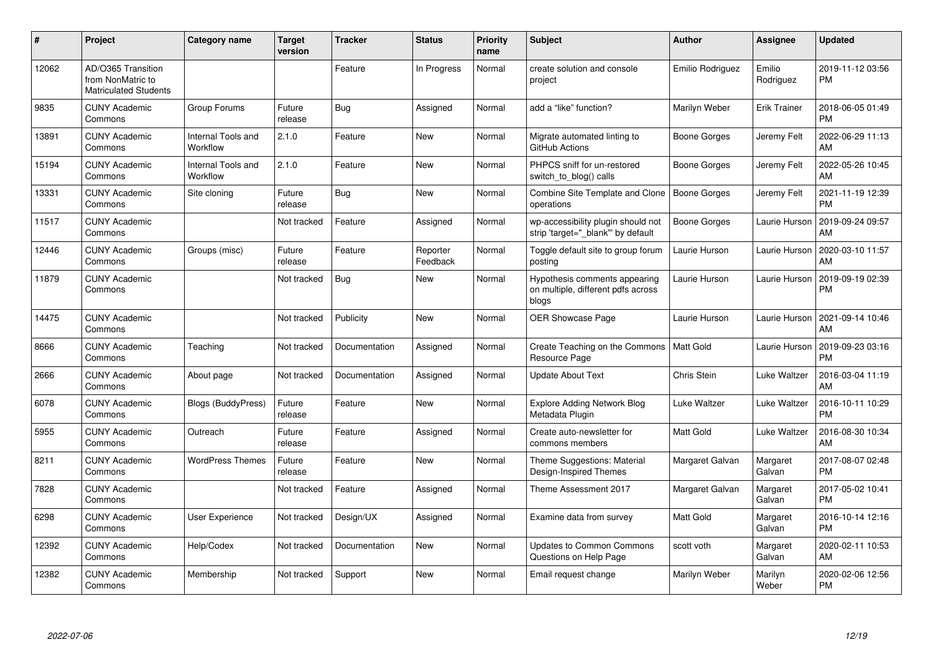| #     | Project                                                                 | <b>Category name</b>           | <b>Target</b><br>version | <b>Tracker</b> | <b>Status</b>        | Priority<br>name | <b>Subject</b>                                                               | <b>Author</b>       | <b>Assignee</b>     | <b>Updated</b>                |
|-------|-------------------------------------------------------------------------|--------------------------------|--------------------------|----------------|----------------------|------------------|------------------------------------------------------------------------------|---------------------|---------------------|-------------------------------|
| 12062 | AD/O365 Transition<br>from NonMatric to<br><b>Matriculated Students</b> |                                |                          | Feature        | In Progress          | Normal           | create solution and console<br>project                                       | Emilio Rodriguez    | Emilio<br>Rodriguez | 2019-11-12 03:56<br><b>PM</b> |
| 9835  | <b>CUNY Academic</b><br>Commons                                         | Group Forums                   | Future<br>release        | <b>Bug</b>     | Assigned             | Normal           | add a "like" function?                                                       | Marilyn Weber       | Erik Trainer        | 2018-06-05 01:49<br><b>PM</b> |
| 13891 | <b>CUNY Academic</b><br>Commons                                         | Internal Tools and<br>Workflow | 2.1.0                    | Feature        | New                  | Normal           | Migrate automated linting to<br>GitHub Actions                               | Boone Gorges        | Jeremy Felt         | 2022-06-29 11:13<br>AM        |
| 15194 | <b>CUNY Academic</b><br>Commons                                         | Internal Tools and<br>Workflow | 2.1.0                    | Feature        | New                  | Normal           | PHPCS sniff for un-restored<br>switch to blog() calls                        | Boone Gorges        | Jeremy Felt         | 2022-05-26 10:45<br>AM        |
| 13331 | <b>CUNY Academic</b><br>Commons                                         | Site cloning                   | Future<br>release        | Bug            | New                  | Normal           | Combine Site Template and Clone<br>operations                                | Boone Gorges        | Jeremy Felt         | 2021-11-19 12:39<br><b>PM</b> |
| 11517 | <b>CUNY Academic</b><br>Commons                                         |                                | Not tracked              | Feature        | Assigned             | Normal           | wp-accessibility plugin should not<br>strip 'target=" blank" by default      | <b>Boone Gorges</b> | Laurie Hurson       | 2019-09-24 09:57<br>AM        |
| 12446 | <b>CUNY Academic</b><br>Commons                                         | Groups (misc)                  | Future<br>release        | Feature        | Reporter<br>Feedback | Normal           | Toggle default site to group forum<br>posting                                | Laurie Hurson       | Laurie Hurson       | 2020-03-10 11:57<br>AM        |
| 11879 | <b>CUNY Academic</b><br>Commons                                         |                                | Not tracked              | Bug            | <b>New</b>           | Normal           | Hypothesis comments appearing<br>on multiple, different pdfs across<br>blogs | Laurie Hurson       | Laurie Hurson       | 2019-09-19 02:39<br><b>PM</b> |
| 14475 | <b>CUNY Academic</b><br>Commons                                         |                                | Not tracked              | Publicity      | <b>New</b>           | Normal           | OER Showcase Page                                                            | Laurie Hurson       | Laurie Hurson       | 2021-09-14 10:46<br>AM        |
| 8666  | <b>CUNY Academic</b><br>Commons                                         | Teaching                       | Not tracked              | Documentation  | Assigned             | Normal           | Create Teaching on the Commons<br>Resource Page                              | Matt Gold           | Laurie Hurson       | 2019-09-23 03:16<br><b>PM</b> |
| 2666  | <b>CUNY Academic</b><br>Commons                                         | About page                     | Not tracked              | Documentation  | Assigned             | Normal           | <b>Update About Text</b>                                                     | Chris Stein         | Luke Waltzer        | 2016-03-04 11:19<br>AM        |
| 6078  | <b>CUNY Academic</b><br>Commons                                         | <b>Blogs (BuddyPress)</b>      | Future<br>release        | Feature        | <b>New</b>           | Normal           | <b>Explore Adding Network Blog</b><br>Metadata Plugin                        | Luke Waltzer        | Luke Waltzer        | 2016-10-11 10:29<br><b>PM</b> |
| 5955  | <b>CUNY Academic</b><br>Commons                                         | Outreach                       | Future<br>release        | Feature        | Assigned             | Normal           | Create auto-newsletter for<br>commons members                                | <b>Matt Gold</b>    | Luke Waltzer        | 2016-08-30 10:34<br>AM        |
| 8211  | <b>CUNY Academic</b><br>Commons                                         | <b>WordPress Themes</b>        | Future<br>release        | Feature        | New                  | Normal           | Theme Suggestions: Material<br>Design-Inspired Themes                        | Margaret Galvan     | Margaret<br>Galvan  | 2017-08-07 02:48<br><b>PM</b> |
| 7828  | <b>CUNY Academic</b><br>Commons                                         |                                | Not tracked              | Feature        | Assigned             | Normal           | Theme Assessment 2017                                                        | Margaret Galvan     | Margaret<br>Galvan  | 2017-05-02 10:41<br><b>PM</b> |
| 6298  | <b>CUNY Academic</b><br>Commons                                         | User Experience                | Not tracked              | Design/UX      | Assigned             | Normal           | Examine data from survey                                                     | <b>Matt Gold</b>    | Margaret<br>Galvan  | 2016-10-14 12:16<br><b>PM</b> |
| 12392 | <b>CUNY Academic</b><br>Commons                                         | Help/Codex                     | Not tracked              | Documentation  | <b>New</b>           | Normal           | <b>Updates to Common Commons</b><br>Questions on Help Page                   | scott voth          | Margaret<br>Galvan  | 2020-02-11 10:53<br>AM        |
| 12382 | <b>CUNY Academic</b><br>Commons                                         | Membership                     | Not tracked              | Support        | <b>New</b>           | Normal           | Email request change                                                         | Marilyn Weber       | Marilyn<br>Weber    | 2020-02-06 12:56<br><b>PM</b> |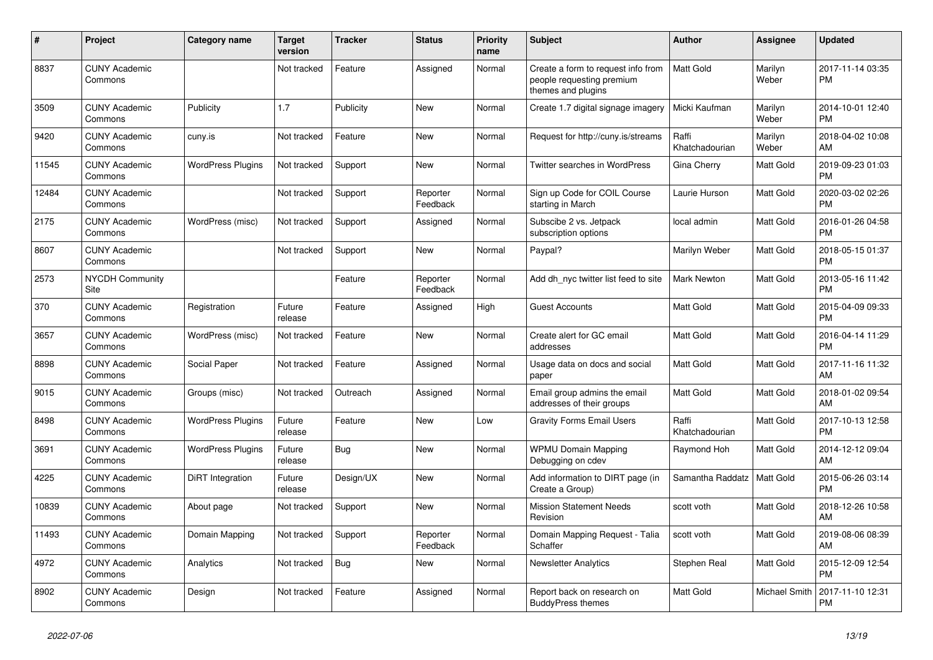| #     | Project                         | <b>Category name</b>     | <b>Target</b><br>version | <b>Tracker</b> | <b>Status</b>        | <b>Priority</b><br>name | <b>Subject</b>                                                                        | <b>Author</b>           | <b>Assignee</b>  | <b>Updated</b>                |
|-------|---------------------------------|--------------------------|--------------------------|----------------|----------------------|-------------------------|---------------------------------------------------------------------------------------|-------------------------|------------------|-------------------------------|
| 8837  | <b>CUNY Academic</b><br>Commons |                          | Not tracked              | Feature        | Assigned             | Normal                  | Create a form to request info from<br>people requesting premium<br>themes and plugins | <b>Matt Gold</b>        | Marilyn<br>Weber | 2017-11-14 03:35<br><b>PM</b> |
| 3509  | <b>CUNY Academic</b><br>Commons | Publicity                | 1.7                      | Publicity      | <b>New</b>           | Normal                  | Create 1.7 digital signage imagery                                                    | Micki Kaufman           | Marilyn<br>Weber | 2014-10-01 12:40<br><b>PM</b> |
| 9420  | <b>CUNY Academic</b><br>Commons | cuny.is                  | Not tracked              | Feature        | <b>New</b>           | Normal                  | Request for http://cuny.is/streams                                                    | Raffi<br>Khatchadourian | Marilyn<br>Weber | 2018-04-02 10:08<br>AM        |
| 11545 | <b>CUNY Academic</b><br>Commons | <b>WordPress Plugins</b> | Not tracked              | Support        | New                  | Normal                  | Twitter searches in WordPress                                                         | Gina Cherry             | Matt Gold        | 2019-09-23 01:03<br><b>PM</b> |
| 12484 | <b>CUNY Academic</b><br>Commons |                          | Not tracked              | Support        | Reporter<br>Feedback | Normal                  | Sign up Code for COIL Course<br>starting in March                                     | Laurie Hurson           | Matt Gold        | 2020-03-02 02:26<br><b>PM</b> |
| 2175  | <b>CUNY Academic</b><br>Commons | WordPress (misc)         | Not tracked              | Support        | Assigned             | Normal                  | Subscibe 2 vs. Jetpack<br>subscription options                                        | local admin             | Matt Gold        | 2016-01-26 04:58<br><b>PM</b> |
| 8607  | <b>CUNY Academic</b><br>Commons |                          | Not tracked              | Support        | New                  | Normal                  | Paypal?                                                                               | Marilyn Weber           | Matt Gold        | 2018-05-15 01:37<br><b>PM</b> |
| 2573  | <b>NYCDH Community</b><br>Site  |                          |                          | Feature        | Reporter<br>Feedback | Normal                  | Add dh nyc twitter list feed to site                                                  | <b>Mark Newton</b>      | Matt Gold        | 2013-05-16 11:42<br><b>PM</b> |
| 370   | <b>CUNY Academic</b><br>Commons | Registration             | Future<br>release        | Feature        | Assigned             | High                    | <b>Guest Accounts</b>                                                                 | <b>Matt Gold</b>        | Matt Gold        | 2015-04-09 09:33<br><b>PM</b> |
| 3657  | <b>CUNY Academic</b><br>Commons | WordPress (misc)         | Not tracked              | Feature        | New                  | Normal                  | Create alert for GC email<br>addresses                                                | <b>Matt Gold</b>        | Matt Gold        | 2016-04-14 11:29<br><b>PM</b> |
| 8898  | <b>CUNY Academic</b><br>Commons | Social Paper             | Not tracked              | Feature        | Assigned             | Normal                  | Usage data on docs and social<br>paper                                                | <b>Matt Gold</b>        | Matt Gold        | 2017-11-16 11:32<br>AM        |
| 9015  | <b>CUNY Academic</b><br>Commons | Groups (misc)            | Not tracked              | Outreach       | Assigned             | Normal                  | Email group admins the email<br>addresses of their groups                             | <b>Matt Gold</b>        | Matt Gold        | 2018-01-02 09:54<br>AM        |
| 8498  | <b>CUNY Academic</b><br>Commons | <b>WordPress Plugins</b> | Future<br>release        | Feature        | New                  | Low                     | <b>Gravity Forms Email Users</b>                                                      | Raffi<br>Khatchadourian | Matt Gold        | 2017-10-13 12:58<br><b>PM</b> |
| 3691  | <b>CUNY Academic</b><br>Commons | <b>WordPress Plugins</b> | Future<br>release        | Bug            | New                  | Normal                  | <b>WPMU Domain Mapping</b><br>Debugging on cdev                                       | Raymond Hoh             | Matt Gold        | 2014-12-12 09:04<br>AM        |
| 4225  | <b>CUNY Academic</b><br>Commons | DiRT Integration         | Future<br>release        | Design/UX      | New                  | Normal                  | Add information to DIRT page (in<br>Create a Group)                                   | Samantha Raddatz        | Matt Gold        | 2015-06-26 03:14<br><b>PM</b> |
| 10839 | <b>CUNY Academic</b><br>Commons | About page               | Not tracked              | Support        | <b>New</b>           | Normal                  | <b>Mission Statement Needs</b><br>Revision                                            | scott voth              | Matt Gold        | 2018-12-26 10:58<br>AM        |
| 11493 | <b>CUNY Academic</b><br>Commons | Domain Mapping           | Not tracked              | Support        | Reporter<br>Feedback | Normal                  | Domain Mapping Request - Talia<br>Schaffer                                            | scott voth              | Matt Gold        | 2019-08-06 08:39<br>AM        |
| 4972  | <b>CUNY Academic</b><br>Commons | Analytics                | Not tracked              | <b>Bug</b>     | New                  | Normal                  | <b>Newsletter Analytics</b>                                                           | Stephen Real            | Matt Gold        | 2015-12-09 12:54<br><b>PM</b> |
| 8902  | <b>CUNY Academic</b><br>Commons | Design                   | Not tracked              | Feature        | Assigned             | Normal                  | Report back on research on<br><b>BuddyPress themes</b>                                | Matt Gold               | Michael Smith    | 2017-11-10 12:31<br><b>PM</b> |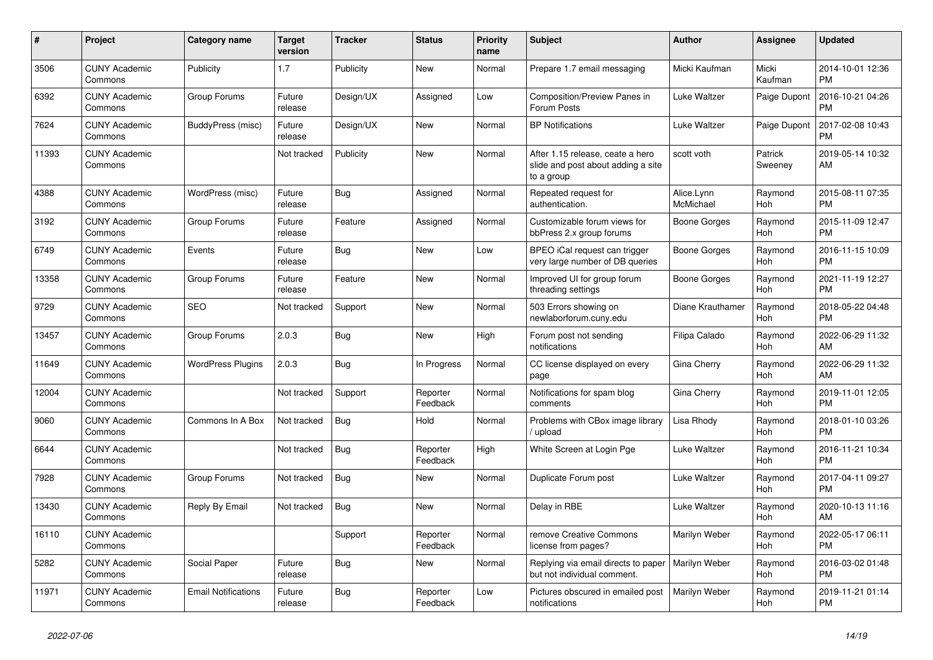| #     | <b>Project</b>                  | <b>Category name</b>       | <b>Target</b><br>version | <b>Tracker</b> | <b>Status</b>        | Priority<br>name | <b>Subject</b>                                                                       | <b>Author</b>           | Assignee           | <b>Updated</b>                |
|-------|---------------------------------|----------------------------|--------------------------|----------------|----------------------|------------------|--------------------------------------------------------------------------------------|-------------------------|--------------------|-------------------------------|
| 3506  | <b>CUNY Academic</b><br>Commons | Publicity                  | 1.7                      | Publicity      | New                  | Normal           | Prepare 1.7 email messaging                                                          | Micki Kaufman           | Micki<br>Kaufman   | 2014-10-01 12:36<br><b>PM</b> |
| 6392  | <b>CUNY Academic</b><br>Commons | Group Forums               | Future<br>release        | Design/UX      | Assigned             | Low              | Composition/Preview Panes in<br>Forum Posts                                          | Luke Waltzer            | Paige Dupont       | 2016-10-21 04:26<br><b>PM</b> |
| 7624  | <b>CUNY Academic</b><br>Commons | BuddyPress (misc)          | Future<br>release        | Design/UX      | New                  | Normal           | <b>BP Notifications</b>                                                              | Luke Waltzer            | Paige Dupont       | 2017-02-08 10:43<br><b>PM</b> |
| 11393 | <b>CUNY Academic</b><br>Commons |                            | Not tracked              | Publicity      | <b>New</b>           | Normal           | After 1.15 release, ceate a hero<br>slide and post about adding a site<br>to a group | scott voth              | Patrick<br>Sweeney | 2019-05-14 10:32<br>AM        |
| 4388  | <b>CUNY Academic</b><br>Commons | WordPress (misc)           | Future<br>release        | Bug            | Assigned             | Normal           | Repeated request for<br>authentication.                                              | Alice.Lynn<br>McMichael | Raymond<br>Hoh     | 2015-08-11 07:35<br><b>PM</b> |
| 3192  | <b>CUNY Academic</b><br>Commons | Group Forums               | Future<br>release        | Feature        | Assigned             | Normal           | Customizable forum views for<br>bbPress 2.x group forums                             | Boone Gorges            | Raymond<br>Hoh     | 2015-11-09 12:47<br><b>PM</b> |
| 6749  | <b>CUNY Academic</b><br>Commons | Events                     | Future<br>release        | <b>Bug</b>     | <b>New</b>           | Low              | BPEO iCal request can trigger<br>very large number of DB queries                     | Boone Gorges            | Raymond<br>Hoh     | 2016-11-15 10:09<br><b>PM</b> |
| 13358 | <b>CUNY Academic</b><br>Commons | Group Forums               | Future<br>release        | Feature        | New                  | Normal           | Improved UI for group forum<br>threading settings                                    | Boone Gorges            | Raymond<br>Hoh     | 2021-11-19 12:27<br><b>PM</b> |
| 9729  | <b>CUNY Academic</b><br>Commons | <b>SEO</b>                 | Not tracked              | Support        | New                  | Normal           | 503 Errors showing on<br>newlaborforum.cuny.edu                                      | Diane Krauthamer        | Raymond<br>Hoh     | 2018-05-22 04:48<br><b>PM</b> |
| 13457 | <b>CUNY Academic</b><br>Commons | Group Forums               | 2.0.3                    | <b>Bug</b>     | <b>New</b>           | High             | Forum post not sending<br>notifications                                              | Filipa Calado           | Raymond<br>Hoh     | 2022-06-29 11:32<br>AM        |
| 11649 | <b>CUNY Academic</b><br>Commons | <b>WordPress Plugins</b>   | 2.0.3                    | Bug            | In Progress          | Normal           | CC license displayed on every<br>page                                                | Gina Cherry             | Raymond<br>Hoh     | 2022-06-29 11:32<br>AM        |
| 12004 | <b>CUNY Academic</b><br>Commons |                            | Not tracked              | Support        | Reporter<br>Feedback | Normal           | Notifications for spam blog<br>comments                                              | Gina Cherry             | Raymond<br>Hoh     | 2019-11-01 12:05<br><b>PM</b> |
| 9060  | <b>CUNY Academic</b><br>Commons | Commons In A Box           | Not tracked              | <b>Bug</b>     | Hold                 | Normal           | Problems with CBox image library<br>/ upload                                         | Lisa Rhody              | Raymond<br>Hoh     | 2018-01-10 03:26<br><b>PM</b> |
| 6644  | <b>CUNY Academic</b><br>Commons |                            | Not tracked              | Bug            | Reporter<br>Feedback | High             | White Screen at Login Pge                                                            | Luke Waltzer            | Raymond<br>Hoh     | 2016-11-21 10:34<br><b>PM</b> |
| 7928  | <b>CUNY Academic</b><br>Commons | Group Forums               | Not tracked              | <b>Bug</b>     | <b>New</b>           | Normal           | Duplicate Forum post                                                                 | Luke Waltzer            | Raymond<br>Hoh     | 2017-04-11 09:27<br><b>PM</b> |
| 13430 | <b>CUNY Academic</b><br>Commons | Reply By Email             | Not tracked              | <b>Bug</b>     | <b>New</b>           | Normal           | Delay in RBE                                                                         | Luke Waltzer            | Raymond<br>Hoh     | 2020-10-13 11:16<br>AM        |
| 16110 | <b>CUNY Academic</b><br>Commons |                            |                          | Support        | Reporter<br>Feedback | Normal           | remove Creative Commons<br>license from pages?                                       | Marilyn Weber           | Raymond<br>Hoh     | 2022-05-17 06:11<br><b>PM</b> |
| 5282  | <b>CUNY Academic</b><br>Commons | Social Paper               | Future<br>release        | <b>Bug</b>     | New                  | Normal           | Replying via email directs to paper<br>but not individual comment.                   | Marilyn Weber           | Raymond<br>Hoh     | 2016-03-02 01:48<br><b>PM</b> |
| 11971 | <b>CUNY Academic</b><br>Commons | <b>Email Notifications</b> | Future<br>release        | Bug            | Reporter<br>Feedback | Low              | Pictures obscured in emailed post<br>notifications                                   | Marilyn Weber           | Raymond<br>Hoh     | 2019-11-21 01:14<br><b>PM</b> |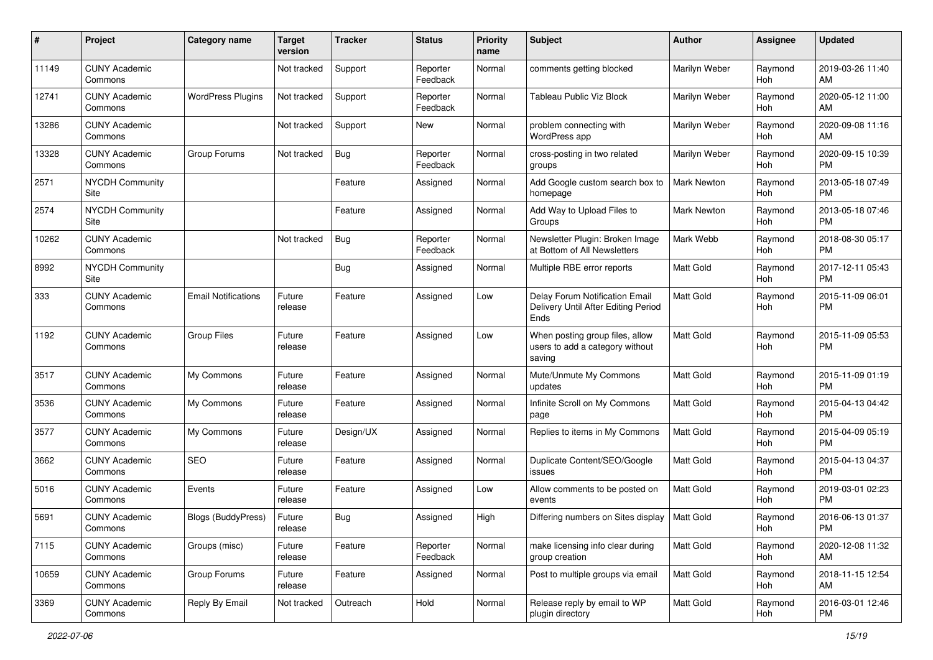| #     | Project                         | <b>Category name</b>       | <b>Target</b><br>version | <b>Tracker</b> | <b>Status</b>        | Priority<br>name | <b>Subject</b>                                                                | Author             | <b>Assignee</b> | <b>Updated</b>                |
|-------|---------------------------------|----------------------------|--------------------------|----------------|----------------------|------------------|-------------------------------------------------------------------------------|--------------------|-----------------|-------------------------------|
| 11149 | <b>CUNY Academic</b><br>Commons |                            | Not tracked              | Support        | Reporter<br>Feedback | Normal           | comments getting blocked                                                      | Marilyn Weber      | Raymond<br>Hoh  | 2019-03-26 11:40<br>AM        |
| 12741 | <b>CUNY Academic</b><br>Commons | <b>WordPress Plugins</b>   | Not tracked              | Support        | Reporter<br>Feedback | Normal           | Tableau Public Viz Block                                                      | Marilyn Weber      | Raymond<br>Hoh  | 2020-05-12 11:00<br>AM        |
| 13286 | <b>CUNY Academic</b><br>Commons |                            | Not tracked              | Support        | New                  | Normal           | problem connecting with<br>WordPress app                                      | Marilyn Weber      | Raymond<br>Hoh  | 2020-09-08 11:16<br>AM        |
| 13328 | <b>CUNY Academic</b><br>Commons | Group Forums               | Not tracked              | Bug            | Reporter<br>Feedback | Normal           | cross-posting in two related<br>groups                                        | Marilyn Weber      | Raymond<br>Hoh  | 2020-09-15 10:39<br><b>PM</b> |
| 2571  | <b>NYCDH Community</b><br>Site  |                            |                          | Feature        | Assigned             | Normal           | Add Google custom search box to<br>homepage                                   | <b>Mark Newton</b> | Raymond<br>Hoh  | 2013-05-18 07:49<br><b>PM</b> |
| 2574  | <b>NYCDH Community</b><br>Site  |                            |                          | Feature        | Assigned             | Normal           | Add Way to Upload Files to<br>Groups                                          | <b>Mark Newton</b> | Raymond<br>Hoh  | 2013-05-18 07:46<br><b>PM</b> |
| 10262 | <b>CUNY Academic</b><br>Commons |                            | Not tracked              | Bug            | Reporter<br>Feedback | Normal           | Newsletter Plugin: Broken Image<br>at Bottom of All Newsletters               | Mark Webb          | Raymond<br>Hoh  | 2018-08-30 05:17<br><b>PM</b> |
| 8992  | <b>NYCDH Community</b><br>Site  |                            |                          | Bug            | Assigned             | Normal           | Multiple RBE error reports                                                    | <b>Matt Gold</b>   | Raymond<br>Hoh  | 2017-12-11 05:43<br><b>PM</b> |
| 333   | <b>CUNY Academic</b><br>Commons | <b>Email Notifications</b> | Future<br>release        | Feature        | Assigned             | Low              | Delay Forum Notification Email<br>Delivery Until After Editing Period<br>Ends | Matt Gold          | Raymond<br>Hoh  | 2015-11-09 06:01<br><b>PM</b> |
| 1192  | <b>CUNY Academic</b><br>Commons | <b>Group Files</b>         | Future<br>release        | Feature        | Assigned             | Low              | When posting group files, allow<br>users to add a category without<br>saving  | <b>Matt Gold</b>   | Raymond<br>Hoh  | 2015-11-09 05:53<br><b>PM</b> |
| 3517  | <b>CUNY Academic</b><br>Commons | My Commons                 | Future<br>release        | Feature        | Assigned             | Normal           | Mute/Unmute My Commons<br>updates                                             | <b>Matt Gold</b>   | Raymond<br>Hoh  | 2015-11-09 01:19<br><b>PM</b> |
| 3536  | <b>CUNY Academic</b><br>Commons | My Commons                 | Future<br>release        | Feature        | Assigned             | Normal           | Infinite Scroll on My Commons<br>page                                         | <b>Matt Gold</b>   | Raymond<br>Hoh  | 2015-04-13 04:42<br><b>PM</b> |
| 3577  | <b>CUNY Academic</b><br>Commons | My Commons                 | Future<br>release        | Design/UX      | Assigned             | Normal           | Replies to items in My Commons                                                | <b>Matt Gold</b>   | Raymond<br>Hoh  | 2015-04-09 05:19<br><b>PM</b> |
| 3662  | <b>CUNY Academic</b><br>Commons | <b>SEO</b>                 | Future<br>release        | Feature        | Assigned             | Normal           | Duplicate Content/SEO/Google<br>issues                                        | <b>Matt Gold</b>   | Raymond<br>Hoh  | 2015-04-13 04:37<br><b>PM</b> |
| 5016  | <b>CUNY Academic</b><br>Commons | Events                     | Future<br>release        | Feature        | Assigned             | Low              | Allow comments to be posted on<br>events                                      | Matt Gold          | Raymond<br>Hoh  | 2019-03-01 02:23<br><b>PM</b> |
| 5691  | <b>CUNY Academic</b><br>Commons | Blogs (BuddyPress)         | Future<br>release        | Bug            | Assigned             | High             | Differing numbers on Sites display                                            | Matt Gold          | Raymond<br>Hoh  | 2016-06-13 01:37<br>PM        |
| 7115  | <b>CUNY Academic</b><br>Commons | Groups (misc)              | Future<br>release        | Feature        | Reporter<br>Feedback | Normal           | make licensing info clear during<br>group creation                            | Matt Gold          | Raymond<br>Hoh  | 2020-12-08 11:32<br>AM        |
| 10659 | <b>CUNY Academic</b><br>Commons | Group Forums               | Future<br>release        | Feature        | Assigned             | Normal           | Post to multiple groups via email                                             | Matt Gold          | Raymond<br>Hoh  | 2018-11-15 12:54<br>AM        |
| 3369  | <b>CUNY Academic</b><br>Commons | Reply By Email             | Not tracked              | Outreach       | Hold                 | Normal           | Release reply by email to WP<br>plugin directory                              | Matt Gold          | Raymond<br>Hoh  | 2016-03-01 12:46<br><b>PM</b> |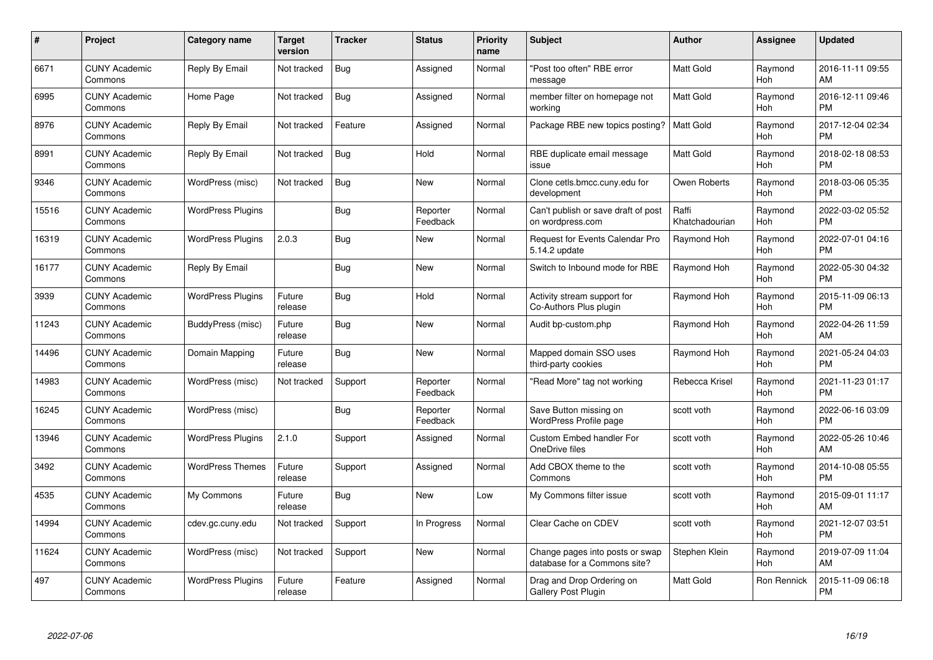| $\#$  | Project                         | <b>Category name</b>     | <b>Target</b><br>version | <b>Tracker</b> | <b>Status</b>        | <b>Priority</b><br>name | <b>Subject</b>                                                  | <b>Author</b>           | <b>Assignee</b> | <b>Updated</b>                |
|-------|---------------------------------|--------------------------|--------------------------|----------------|----------------------|-------------------------|-----------------------------------------------------------------|-------------------------|-----------------|-------------------------------|
| 6671  | <b>CUNY Academic</b><br>Commons | Reply By Email           | Not tracked              | <b>Bug</b>     | Assigned             | Normal                  | "Post too often" RBE error<br>message                           | <b>Matt Gold</b>        | Raymond<br>Hoh  | 2016-11-11 09:55<br>AM        |
| 6995  | <b>CUNY Academic</b><br>Commons | Home Page                | Not tracked              | Bug            | Assigned             | Normal                  | member filter on homepage not<br>working                        | <b>Matt Gold</b>        | Raymond<br>Hoh  | 2016-12-11 09:46<br><b>PM</b> |
| 8976  | <b>CUNY Academic</b><br>Commons | Reply By Email           | Not tracked              | Feature        | Assigned             | Normal                  | Package RBE new topics posting?                                 | <b>Matt Gold</b>        | Raymond<br>Hoh  | 2017-12-04 02:34<br><b>PM</b> |
| 8991  | <b>CUNY Academic</b><br>Commons | Reply By Email           | Not tracked              | Bug            | Hold                 | Normal                  | RBE duplicate email message<br>issue                            | <b>Matt Gold</b>        | Raymond<br>Hoh  | 2018-02-18 08:53<br><b>PM</b> |
| 9346  | <b>CUNY Academic</b><br>Commons | WordPress (misc)         | Not tracked              | Bug            | <b>New</b>           | Normal                  | Clone cetls.bmcc.cuny.edu for<br>development                    | Owen Roberts            | Raymond<br>Hoh  | 2018-03-06 05:35<br><b>PM</b> |
| 15516 | <b>CUNY Academic</b><br>Commons | <b>WordPress Plugins</b> |                          | Bug            | Reporter<br>Feedback | Normal                  | Can't publish or save draft of post<br>on wordpress.com         | Raffi<br>Khatchadourian | Raymond<br>Hoh  | 2022-03-02 05:52<br><b>PM</b> |
| 16319 | <b>CUNY Academic</b><br>Commons | <b>WordPress Plugins</b> | 2.0.3                    | Bug            | <b>New</b>           | Normal                  | Request for Events Calendar Pro<br>5.14.2 update                | Raymond Hoh             | Raymond<br>Hoh  | 2022-07-01 04:16<br><b>PM</b> |
| 16177 | <b>CUNY Academic</b><br>Commons | Reply By Email           |                          | Bug            | <b>New</b>           | Normal                  | Switch to Inbound mode for RBE                                  | Raymond Hoh             | Raymond<br>Hoh  | 2022-05-30 04:32<br><b>PM</b> |
| 3939  | <b>CUNY Academic</b><br>Commons | <b>WordPress Plugins</b> | Future<br>release        | Bug            | Hold                 | Normal                  | Activity stream support for<br>Co-Authors Plus plugin           | Raymond Hoh             | Raymond<br>Hoh  | 2015-11-09 06:13<br><b>PM</b> |
| 11243 | <b>CUNY Academic</b><br>Commons | BuddyPress (misc)        | Future<br>release        | Bug            | New                  | Normal                  | Audit bp-custom.php                                             | Raymond Hoh             | Raymond<br>Hoh  | 2022-04-26 11:59<br>AM        |
| 14496 | <b>CUNY Academic</b><br>Commons | Domain Mapping           | Future<br>release        | <b>Bug</b>     | <b>New</b>           | Normal                  | Mapped domain SSO uses<br>third-party cookies                   | Raymond Hoh             | Raymond<br>Hoh  | 2021-05-24 04:03<br><b>PM</b> |
| 14983 | <b>CUNY Academic</b><br>Commons | WordPress (misc)         | Not tracked              | Support        | Reporter<br>Feedback | Normal                  | "Read More" tag not working                                     | Rebecca Krisel          | Raymond<br>Hoh  | 2021-11-23 01:17<br><b>PM</b> |
| 16245 | <b>CUNY Academic</b><br>Commons | WordPress (misc)         |                          | Bug            | Reporter<br>Feedback | Normal                  | Save Button missing on<br>WordPress Profile page                | scott voth              | Raymond<br>Hoh  | 2022-06-16 03:09<br><b>PM</b> |
| 13946 | <b>CUNY Academic</b><br>Commons | <b>WordPress Plugins</b> | 2.1.0                    | Support        | Assigned             | Normal                  | <b>Custom Embed handler For</b><br>OneDrive files               | scott voth              | Raymond<br>Hoh  | 2022-05-26 10:46<br>AM        |
| 3492  | <b>CUNY Academic</b><br>Commons | <b>WordPress Themes</b>  | Future<br>release        | Support        | Assigned             | Normal                  | Add CBOX theme to the<br>Commons                                | scott voth              | Raymond<br>Hoh  | 2014-10-08 05:55<br><b>PM</b> |
| 4535  | <b>CUNY Academic</b><br>Commons | My Commons               | Future<br>release        | Bug            | New                  | Low                     | My Commons filter issue                                         | scott voth              | Raymond<br>Hoh  | 2015-09-01 11:17<br>AM        |
| 14994 | <b>CUNY Academic</b><br>Commons | cdev.gc.cuny.edu         | Not tracked              | Support        | In Progress          | Normal                  | Clear Cache on CDEV                                             | scott voth              | Raymond<br>Hoh  | 2021-12-07 03:51<br><b>PM</b> |
| 11624 | <b>CUNY Academic</b><br>Commons | WordPress (misc)         | Not tracked              | Support        | <b>New</b>           | Normal                  | Change pages into posts or swap<br>database for a Commons site? | Stephen Klein           | Raymond<br>Hoh  | 2019-07-09 11:04<br>AM        |
| 497   | CUNY Academic<br>Commons        | <b>WordPress Plugins</b> | Future<br>release        | Feature        | Assigned             | Normal                  | Drag and Drop Ordering on<br><b>Gallery Post Plugin</b>         | <b>Matt Gold</b>        | Ron Rennick     | 2015-11-09 06:18<br><b>PM</b> |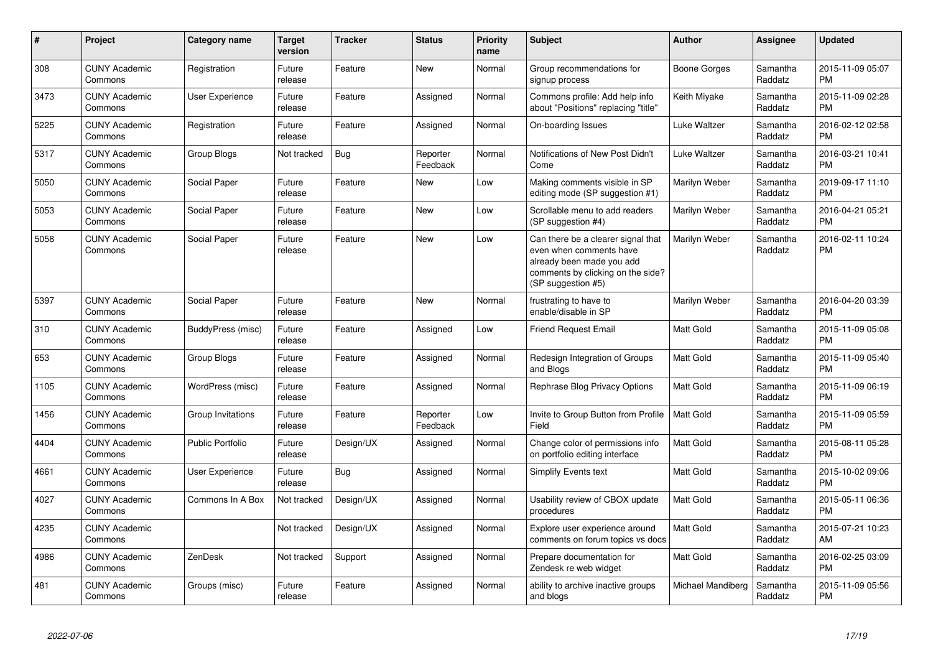| $\pmb{\#}$ | Project                         | <b>Category name</b>    | <b>Target</b><br>version | <b>Tracker</b> | <b>Status</b>        | Priority<br>name | <b>Subject</b>                                                                                                                                        | <b>Author</b>     | <b>Assignee</b>     | <b>Updated</b>                |
|------------|---------------------------------|-------------------------|--------------------------|----------------|----------------------|------------------|-------------------------------------------------------------------------------------------------------------------------------------------------------|-------------------|---------------------|-------------------------------|
| 308        | <b>CUNY Academic</b><br>Commons | Registration            | Future<br>release        | Feature        | <b>New</b>           | Normal           | Group recommendations for<br>signup process                                                                                                           | Boone Gorges      | Samantha<br>Raddatz | 2015-11-09 05:07<br><b>PM</b> |
| 3473       | <b>CUNY Academic</b><br>Commons | User Experience         | Future<br>release        | Feature        | Assigned             | Normal           | Commons profile: Add help info<br>about "Positions" replacing "title"                                                                                 | Keith Miyake      | Samantha<br>Raddatz | 2015-11-09 02:28<br><b>PM</b> |
| 5225       | <b>CUNY Academic</b><br>Commons | Registration            | Future<br>release        | Feature        | Assigned             | Normal           | On-boarding Issues                                                                                                                                    | Luke Waltzer      | Samantha<br>Raddatz | 2016-02-12 02:58<br><b>PM</b> |
| 5317       | <b>CUNY Academic</b><br>Commons | Group Blogs             | Not tracked              | Bug            | Reporter<br>Feedback | Normal           | Notifications of New Post Didn't<br>Come                                                                                                              | Luke Waltzer      | Samantha<br>Raddatz | 2016-03-21 10:41<br><b>PM</b> |
| 5050       | <b>CUNY Academic</b><br>Commons | Social Paper            | Future<br>release        | Feature        | New                  | Low              | Making comments visible in SP<br>editing mode (SP suggestion #1)                                                                                      | Marilyn Weber     | Samantha<br>Raddatz | 2019-09-17 11:10<br><b>PM</b> |
| 5053       | <b>CUNY Academic</b><br>Commons | Social Paper            | Future<br>release        | Feature        | New                  | Low              | Scrollable menu to add readers<br>(SP suggestion #4)                                                                                                  | Marilyn Weber     | Samantha<br>Raddatz | 2016-04-21 05:21<br><b>PM</b> |
| 5058       | <b>CUNY Academic</b><br>Commons | Social Paper            | Future<br>release        | Feature        | New                  | Low              | Can there be a clearer signal that<br>even when comments have<br>already been made you add<br>comments by clicking on the side?<br>(SP suggestion #5) | Marilyn Weber     | Samantha<br>Raddatz | 2016-02-11 10:24<br><b>PM</b> |
| 5397       | <b>CUNY Academic</b><br>Commons | Social Paper            | Future<br>release        | Feature        | New                  | Normal           | frustrating to have to<br>enable/disable in SP                                                                                                        | Marilyn Weber     | Samantha<br>Raddatz | 2016-04-20 03:39<br><b>PM</b> |
| 310        | <b>CUNY Academic</b><br>Commons | BuddyPress (misc)       | Future<br>release        | Feature        | Assigned             | Low              | <b>Friend Request Email</b>                                                                                                                           | <b>Matt Gold</b>  | Samantha<br>Raddatz | 2015-11-09 05:08<br><b>PM</b> |
| 653        | <b>CUNY Academic</b><br>Commons | Group Blogs             | Future<br>release        | Feature        | Assigned             | Normal           | Redesign Integration of Groups<br>and Blogs                                                                                                           | <b>Matt Gold</b>  | Samantha<br>Raddatz | 2015-11-09 05:40<br><b>PM</b> |
| 1105       | <b>CUNY Academic</b><br>Commons | WordPress (misc)        | Future<br>release        | Feature        | Assigned             | Normal           | Rephrase Blog Privacy Options                                                                                                                         | <b>Matt Gold</b>  | Samantha<br>Raddatz | 2015-11-09 06:19<br><b>PM</b> |
| 1456       | <b>CUNY Academic</b><br>Commons | Group Invitations       | Future<br>release        | Feature        | Reporter<br>Feedback | Low              | Invite to Group Button from Profile<br>Field                                                                                                          | <b>Matt Gold</b>  | Samantha<br>Raddatz | 2015-11-09 05:59<br><b>PM</b> |
| 4404       | <b>CUNY Academic</b><br>Commons | <b>Public Portfolio</b> | Future<br>release        | Design/UX      | Assigned             | Normal           | Change color of permissions info<br>on portfolio editing interface                                                                                    | <b>Matt Gold</b>  | Samantha<br>Raddatz | 2015-08-11 05:28<br><b>PM</b> |
| 4661       | <b>CUNY Academic</b><br>Commons | User Experience         | Future<br>release        | <b>Bug</b>     | Assigned             | Normal           | <b>Simplify Events text</b>                                                                                                                           | Matt Gold         | Samantha<br>Raddatz | 2015-10-02 09:06<br><b>PM</b> |
| 4027       | <b>CUNY Academic</b><br>Commons | Commons In A Box        | Not tracked              | Design/UX      | Assigned             | Normal           | Usability review of CBOX update<br>procedures                                                                                                         | Matt Gold         | Samantha<br>Raddatz | 2015-05-11 06:36<br><b>PM</b> |
| 4235       | <b>CUNY Academic</b><br>Commons |                         | Not tracked              | Design/UX      | Assigned             | Normal           | Explore user experience around<br>comments on forum topics vs docs                                                                                    | <b>Matt Gold</b>  | Samantha<br>Raddatz | 2015-07-21 10:23<br>AM        |
| 4986       | <b>CUNY Academic</b><br>Commons | ZenDesk                 | Not tracked              | Support        | Assigned             | Normal           | Prepare documentation for<br>Zendesk re web widget                                                                                                    | <b>Matt Gold</b>  | Samantha<br>Raddatz | 2016-02-25 03:09<br><b>PM</b> |
| 481        | <b>CUNY Academic</b><br>Commons | Groups (misc)           | Future<br>release        | Feature        | Assigned             | Normal           | ability to archive inactive groups<br>and blogs                                                                                                       | Michael Mandiberg | Samantha<br>Raddatz | 2015-11-09 05:56<br><b>PM</b> |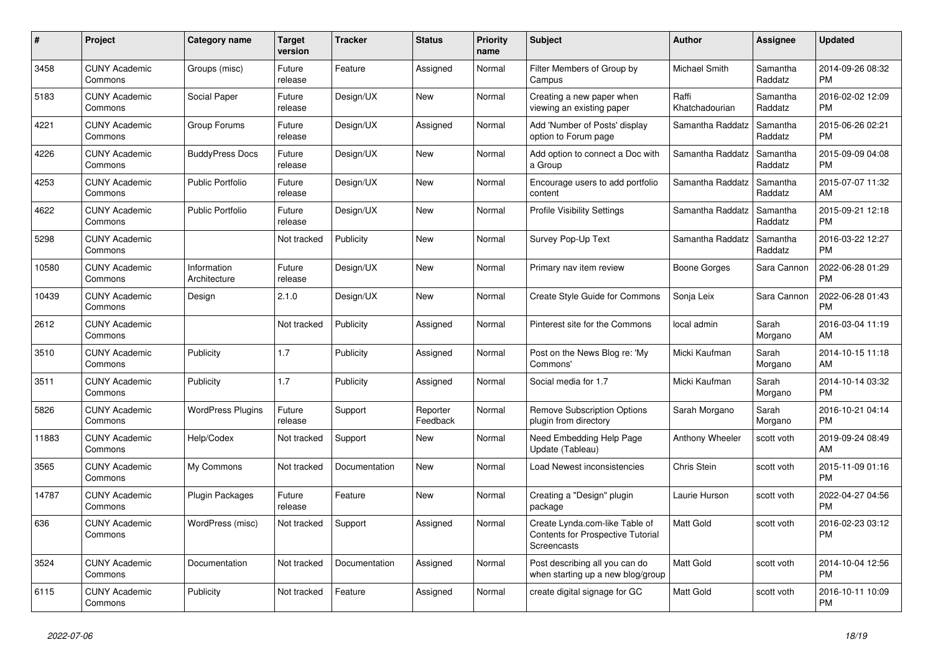| $\#$  | Project                         | Category name               | <b>Target</b><br>version | <b>Tracker</b> | <b>Status</b>        | <b>Priority</b><br>name | <b>Subject</b>                                                                     | <b>Author</b>           | Assignee            | <b>Updated</b>                |
|-------|---------------------------------|-----------------------------|--------------------------|----------------|----------------------|-------------------------|------------------------------------------------------------------------------------|-------------------------|---------------------|-------------------------------|
| 3458  | <b>CUNY Academic</b><br>Commons | Groups (misc)               | Future<br>release        | Feature        | Assigned             | Normal                  | Filter Members of Group by<br>Campus                                               | Michael Smith           | Samantha<br>Raddatz | 2014-09-26 08:32<br><b>PM</b> |
| 5183  | <b>CUNY Academic</b><br>Commons | Social Paper                | Future<br>release        | Design/UX      | New                  | Normal                  | Creating a new paper when<br>viewing an existing paper                             | Raffi<br>Khatchadourian | Samantha<br>Raddatz | 2016-02-02 12:09<br><b>PM</b> |
| 4221  | <b>CUNY Academic</b><br>Commons | Group Forums                | Future<br>release        | Design/UX      | Assigned             | Normal                  | Add 'Number of Posts' display<br>option to Forum page                              | Samantha Raddatz        | Samantha<br>Raddatz | 2015-06-26 02:21<br><b>PM</b> |
| 4226  | <b>CUNY Academic</b><br>Commons | <b>BuddyPress Docs</b>      | Future<br>release        | Design/UX      | <b>New</b>           | Normal                  | Add option to connect a Doc with<br>a Group                                        | Samantha Raddatz        | Samantha<br>Raddatz | 2015-09-09 04:08<br><b>PM</b> |
| 4253  | <b>CUNY Academic</b><br>Commons | <b>Public Portfolio</b>     | Future<br>release        | Design/UX      | <b>New</b>           | Normal                  | Encourage users to add portfolio<br>content                                        | Samantha Raddatz        | Samantha<br>Raddatz | 2015-07-07 11:32<br>AM        |
| 4622  | <b>CUNY Academic</b><br>Commons | <b>Public Portfolio</b>     | Future<br>release        | Design/UX      | New                  | Normal                  | <b>Profile Visibility Settings</b>                                                 | Samantha Raddatz        | Samantha<br>Raddatz | 2015-09-21 12:18<br><b>PM</b> |
| 5298  | <b>CUNY Academic</b><br>Commons |                             | Not tracked              | Publicity      | <b>New</b>           | Normal                  | Survey Pop-Up Text                                                                 | Samantha Raddatz        | Samantha<br>Raddatz | 2016-03-22 12:27<br><b>PM</b> |
| 10580 | <b>CUNY Academic</b><br>Commons | Information<br>Architecture | Future<br>release        | Design/UX      | <b>New</b>           | Normal                  | Primary nav item review                                                            | Boone Gorges            | Sara Cannon         | 2022-06-28 01:29<br><b>PM</b> |
| 10439 | <b>CUNY Academic</b><br>Commons | Design                      | 2.1.0                    | Design/UX      | <b>New</b>           | Normal                  | Create Style Guide for Commons                                                     | Sonja Leix              | Sara Cannon         | 2022-06-28 01:43<br><b>PM</b> |
| 2612  | <b>CUNY Academic</b><br>Commons |                             | Not tracked              | Publicity      | Assigned             | Normal                  | Pinterest site for the Commons                                                     | local admin             | Sarah<br>Morgano    | 2016-03-04 11:19<br>AM        |
| 3510  | <b>CUNY Academic</b><br>Commons | Publicity                   | 1.7                      | Publicity      | Assigned             | Normal                  | Post on the News Blog re: 'My<br>Commons'                                          | Micki Kaufman           | Sarah<br>Morgano    | 2014-10-15 11:18<br>AM        |
| 3511  | <b>CUNY Academic</b><br>Commons | Publicity                   | 1.7                      | Publicity      | Assigned             | Normal                  | Social media for 1.7                                                               | Micki Kaufman           | Sarah<br>Morgano    | 2014-10-14 03:32<br><b>PM</b> |
| 5826  | <b>CUNY Academic</b><br>Commons | <b>WordPress Plugins</b>    | Future<br>release        | Support        | Reporter<br>Feedback | Normal                  | <b>Remove Subscription Options</b><br>plugin from directory                        | Sarah Morgano           | Sarah<br>Morgano    | 2016-10-21 04:14<br><b>PM</b> |
| 11883 | <b>CUNY Academic</b><br>Commons | Help/Codex                  | Not tracked              | Support        | New                  | Normal                  | Need Embedding Help Page<br>Update (Tableau)                                       | Anthony Wheeler         | scott voth          | 2019-09-24 08:49<br>AM        |
| 3565  | <b>CUNY Academic</b><br>Commons | My Commons                  | Not tracked              | Documentation  | New                  | Normal                  | Load Newest inconsistencies                                                        | Chris Stein             | scott voth          | 2015-11-09 01:16<br><b>PM</b> |
| 14787 | <b>CUNY Academic</b><br>Commons | Plugin Packages             | Future<br>release        | Feature        | <b>New</b>           | Normal                  | Creating a "Design" plugin<br>package                                              | Laurie Hurson           | scott voth          | 2022-04-27 04:56<br><b>PM</b> |
| 636   | <b>CUNY Academic</b><br>Commons | WordPress (misc)            | Not tracked              | Support        | Assigned             | Normal                  | Create Lynda.com-like Table of<br>Contents for Prospective Tutorial<br>Screencasts | <b>Matt Gold</b>        | scott voth          | 2016-02-23 03:12<br><b>PM</b> |
| 3524  | <b>CUNY Academic</b><br>Commons | Documentation               | Not tracked              | Documentation  | Assigned             | Normal                  | Post describing all you can do<br>when starting up a new blog/group                | Matt Gold               | scott voth          | 2014-10-04 12:56<br><b>PM</b> |
| 6115  | <b>CUNY Academic</b><br>Commons | Publicity                   | Not tracked              | Feature        | Assigned             | Normal                  | create digital signage for GC                                                      | Matt Gold               | scott voth          | 2016-10-11 10:09<br><b>PM</b> |